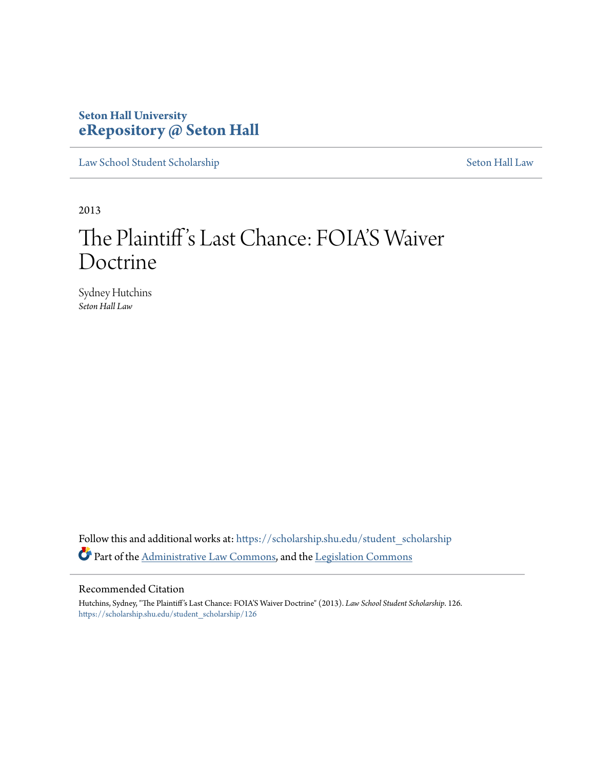# **Seton Hall University [eRepository @ Seton Hall](https://scholarship.shu.edu?utm_source=scholarship.shu.edu%2Fstudent_scholarship%2F126&utm_medium=PDF&utm_campaign=PDFCoverPages)**

[Law School Student Scholarship](https://scholarship.shu.edu/student_scholarship?utm_source=scholarship.shu.edu%2Fstudent_scholarship%2F126&utm_medium=PDF&utm_campaign=PDFCoverPages) [Seton Hall Law](https://scholarship.shu.edu/law?utm_source=scholarship.shu.edu%2Fstudent_scholarship%2F126&utm_medium=PDF&utm_campaign=PDFCoverPages)

2013

# The Plaintiff's Last Chance: FOIA'S Waiver Doctrine

Sydney Hutchins *Seton Hall Law*

Follow this and additional works at: [https://scholarship.shu.edu/student\\_scholarship](https://scholarship.shu.edu/student_scholarship?utm_source=scholarship.shu.edu%2Fstudent_scholarship%2F126&utm_medium=PDF&utm_campaign=PDFCoverPages) Part of the [Administrative Law Commons,](http://network.bepress.com/hgg/discipline/579?utm_source=scholarship.shu.edu%2Fstudent_scholarship%2F126&utm_medium=PDF&utm_campaign=PDFCoverPages) and the [Legislation Commons](http://network.bepress.com/hgg/discipline/859?utm_source=scholarship.shu.edu%2Fstudent_scholarship%2F126&utm_medium=PDF&utm_campaign=PDFCoverPages)

### Recommended Citation

Hutchins, Sydney, "The Plaintiff's Last Chance: FOIA'S Waiver Doctrine" (2013). *Law School Student Scholarship*. 126. [https://scholarship.shu.edu/student\\_scholarship/126](https://scholarship.shu.edu/student_scholarship/126?utm_source=scholarship.shu.edu%2Fstudent_scholarship%2F126&utm_medium=PDF&utm_campaign=PDFCoverPages)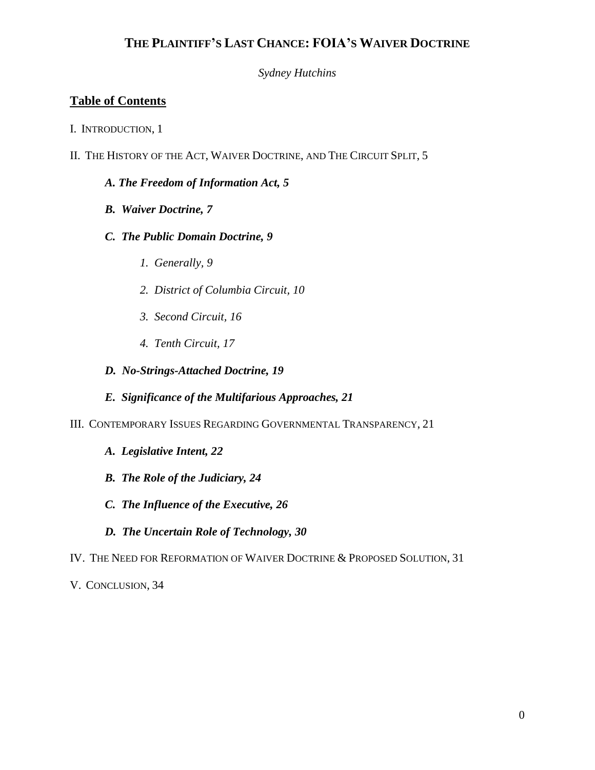*Sydney Hutchins*

# **Table of Contents**

- I. INTRODUCTION, 1
- II. THE HISTORY OF THE ACT, WAIVER DOCTRINE, AND THE CIRCUIT SPLIT, 5

### *A. The Freedom of Information Act, 5*

- *B. Waiver Doctrine, 7*
- *C. The Public Domain Doctrine, 9*
	- *1. Generally, 9*
	- *2. District of Columbia Circuit, 10*
	- *3. Second Circuit, 16*
	- *4. Tenth Circuit, 17*

### *D. No-Strings-Attached Doctrine, 19*

- *E. Significance of the Multifarious Approaches, 21*
- III. CONTEMPORARY ISSUES REGARDING GOVERNMENTAL TRANSPARENCY, 21
	- *A. Legislative Intent, 22*
	- *B. The Role of the Judiciary, 24*
	- *C. The Influence of the Executive, 26*
	- *D. The Uncertain Role of Technology, 30*
- IV. THE NEED FOR REFORMATION OF WAIVER DOCTRINE & PROPOSED SOLUTION, 31

V. CONCLUSION, 34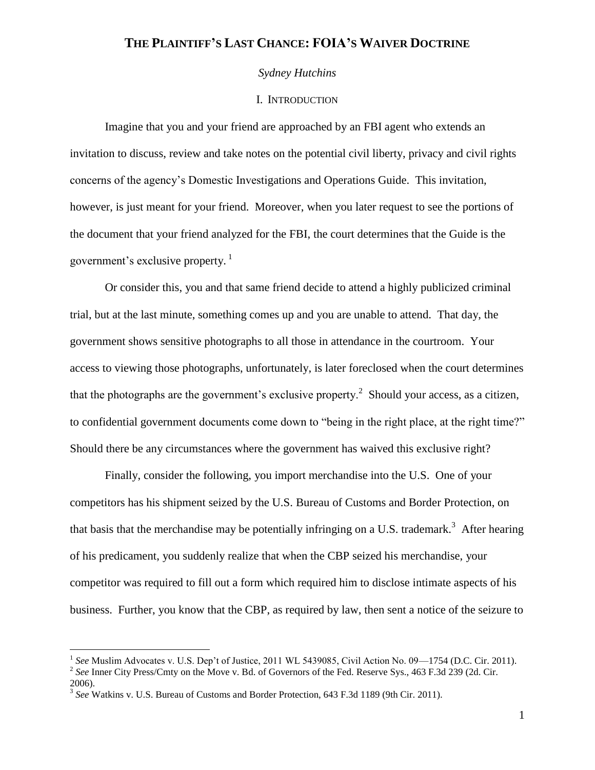### *Sydney Hutchins*

#### I. INTRODUCTION

Imagine that you and your friend are approached by an FBI agent who extends an invitation to discuss, review and take notes on the potential civil liberty, privacy and civil rights concerns of the agency's Domestic Investigations and Operations Guide. This invitation, however, is just meant for your friend. Moreover, when you later request to see the portions of the document that your friend analyzed for the FBI, the court determines that the Guide is the government's exclusive property. $\frac{1}{1}$ 

Or consider this, you and that same friend decide to attend a highly publicized criminal trial, but at the last minute, something comes up and you are unable to attend. That day, the government shows sensitive photographs to all those in attendance in the courtroom. Your access to viewing those photographs, unfortunately, is later foreclosed when the court determines that the photographs are the government's exclusive property.<sup>2</sup> Should your access, as a citizen, to confidential government documents come down to "being in the right place, at the right time?" Should there be any circumstances where the government has waived this exclusive right?

Finally, consider the following, you import merchandise into the U.S. One of your competitors has his shipment seized by the U.S. Bureau of Customs and Border Protection, on that basis that the merchandise may be potentially infringing on a U.S. trademark.<sup>3</sup> After hearing of his predicament, you suddenly realize that when the CBP seized his merchandise, your competitor was required to fill out a form which required him to disclose intimate aspects of his business. Further, you know that the CBP, as required by law, then sent a notice of the seizure to

<sup>2</sup> See Inner City Press/Cmty on the Move v. Bd. of Governors of the Fed. Reserve Sys., 463 F.3d 239 (2d. Cir. 2006).

<sup>&</sup>lt;sup>1</sup> See Muslim Advocates v. U.S. Dep't of Justice, 2011 WL 5439085, Civil Action No. 09—1754 (D.C. Cir. 2011).

<sup>3</sup> *See* Watkins v. U.S. Bureau of Customs and Border Protection, 643 F.3d 1189 (9th Cir. 2011).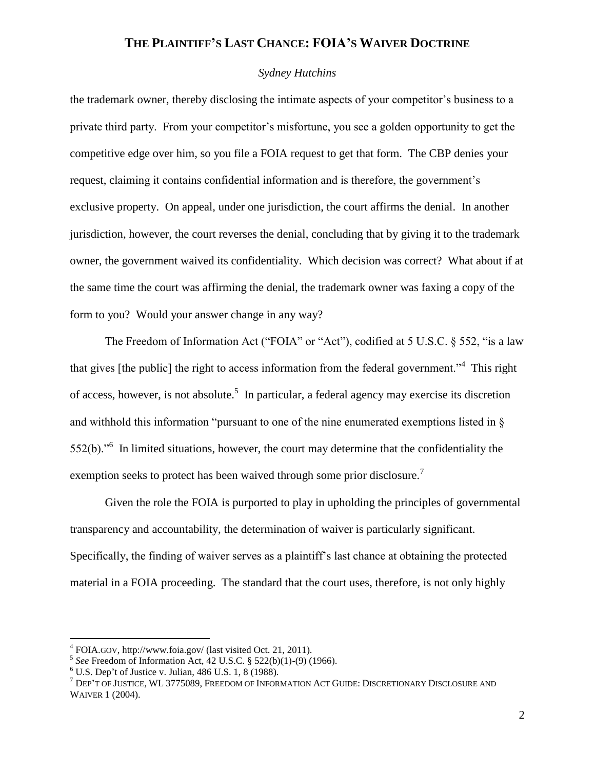### *Sydney Hutchins*

the trademark owner, thereby disclosing the intimate aspects of your competitor's business to a private third party. From your competitor's misfortune, you see a golden opportunity to get the competitive edge over him, so you file a FOIA request to get that form. The CBP denies your request, claiming it contains confidential information and is therefore, the government's exclusive property. On appeal, under one jurisdiction, the court affirms the denial. In another jurisdiction, however, the court reverses the denial, concluding that by giving it to the trademark owner, the government waived its confidentiality. Which decision was correct? What about if at the same time the court was affirming the denial, the trademark owner was faxing a copy of the form to you? Would your answer change in any way?

The Freedom of Information Act ("FOIA" or "Act"), codified at 5 U.S.C. § 552, "is a law that gives [the public] the right to access information from the federal government."<sup>4</sup> This right of access, however, is not absolute.<sup>5</sup> In particular, a federal agency may exercise its discretion and withhold this information "pursuant to one of the nine enumerated exemptions listed in §  $552(b)$ .<sup>56</sup> In limited situations, however, the court may determine that the confidentiality the exemption seeks to protect has been waived through some prior disclosure.<sup>7</sup>

Given the role the FOIA is purported to play in upholding the principles of governmental transparency and accountability, the determination of waiver is particularly significant. Specifically, the finding of waiver serves as a plaintiff's last chance at obtaining the protected material in a FOIA proceeding. The standard that the court uses, therefore, is not only highly

<sup>4</sup> FOIA.GOV, http://www.foia.gov/ (last visited Oct. 21, 2011).

<sup>5</sup> *See* Freedom of Information Act, 42 U.S.C. § 522(b)(1)-(9) (1966).

 $6$  U.S. Dep't of Justice v. Julian, 486 U.S. 1, 8 (1988).

<sup>7</sup> DEP'T OF JUSTICE, WL 3775089, FREEDOM OF INFORMATION ACT GUIDE: DISCRETIONARY DISCLOSURE AND WAIVER 1 (2004).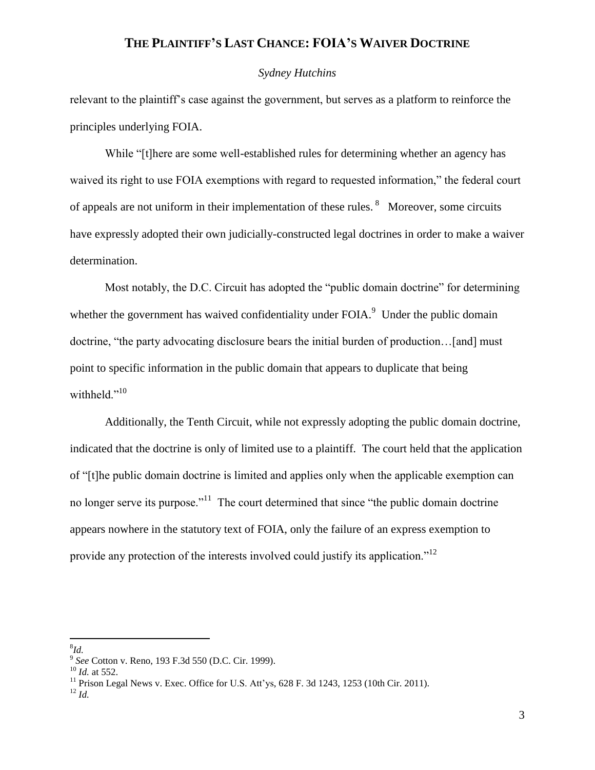### *Sydney Hutchins*

relevant to the plaintiff's case against the government, but serves as a platform to reinforce the principles underlying FOIA.

While "[t]here are some well-established rules for determining whether an agency has waived its right to use FOIA exemptions with regard to requested information," the federal court of appeals are not uniform in their implementation of these rules.  $8$  Moreover, some circuits have expressly adopted their own judicially-constructed legal doctrines in order to make a waiver determination.

Most notably, the D.C. Circuit has adopted the "public domain doctrine" for determining whether the government has waived confidentiality under  $FOLA$ <sup>9</sup> Under the public domain doctrine, "the party advocating disclosure bears the initial burden of production…[and] must point to specific information in the public domain that appears to duplicate that being withheld."<sup>10</sup>

Additionally, the Tenth Circuit, while not expressly adopting the public domain doctrine, indicated that the doctrine is only of limited use to a plaintiff. The court held that the application of "[t]he public domain doctrine is limited and applies only when the applicable exemption can no longer serve its purpose."<sup>11</sup> The court determined that since "the public domain doctrine appears nowhere in the statutory text of FOIA, only the failure of an express exemption to provide any protection of the interests involved could justify its application."<sup>12</sup>

 $\overline{a}$ 8 *Id.*

<sup>11</sup> Prison Legal News v. Exec. Office for U.S. Att'ys,  $628$  F. 3d 1243, 1253 (10th Cir. 2011).

 $^{12}$  *Id.* 

<sup>9</sup> *See* Cotton v. Reno, 193 F.3d 550 (D.C. Cir. 1999).

<sup>10</sup> *Id.* at 552.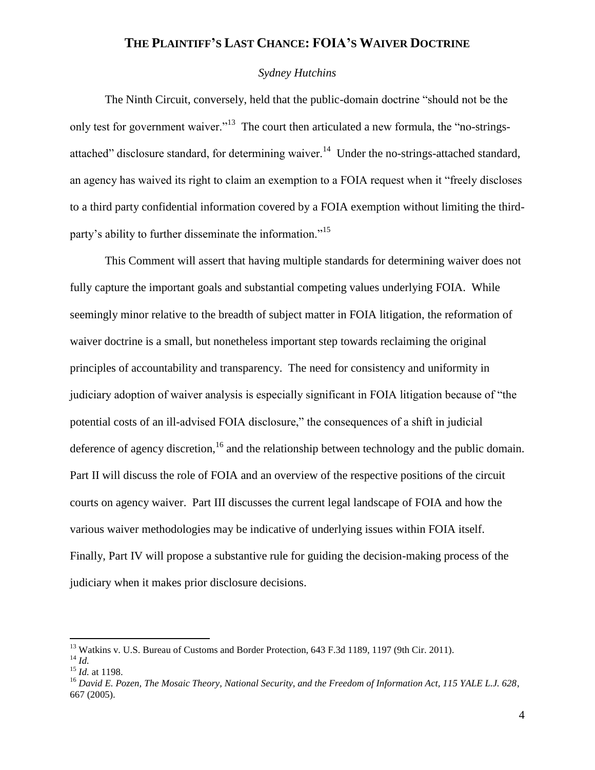### *Sydney Hutchins*

The Ninth Circuit, conversely, held that the public-domain doctrine "should not be the only test for government waiver."<sup>13</sup> The court then articulated a new formula, the "no-stringsattached" disclosure standard, for determining waiver.<sup>14</sup> Under the no-strings-attached standard, an agency has waived its right to claim an exemption to a FOIA request when it "freely discloses to a third party confidential information covered by a FOIA exemption without limiting the thirdparty's ability to further disseminate the information."<sup>15</sup>

This Comment will assert that having multiple standards for determining waiver does not fully capture the important goals and substantial competing values underlying FOIA. While seemingly minor relative to the breadth of subject matter in FOIA litigation, the reformation of waiver doctrine is a small, but nonetheless important step towards reclaiming the original principles of accountability and transparency. The need for consistency and uniformity in judiciary adoption of waiver analysis is especially significant in FOIA litigation because of "the potential costs of an ill-advised FOIA disclosure," the consequences of a shift in judicial deference of agency discretion, $16$  and the relationship between technology and the public domain. Part II will discuss the role of FOIA and an overview of the respective positions of the circuit courts on agency waiver. Part III discusses the current legal landscape of FOIA and how the various waiver methodologies may be indicative of underlying issues within FOIA itself. Finally, Part IV will propose a substantive rule for guiding the decision-making process of the judiciary when it makes prior disclosure decisions.

<sup>&</sup>lt;sup>13</sup> Watkins v. U.S. Bureau of Customs and Border Protection, 643 F.3d 1189, 1197 (9th Cir. 2011). <sup>14</sup> *Id.* 

<sup>15</sup> *Id.* at 1198.

<sup>16</sup> *David E. Pozen, The Mosaic Theory, National Security, and the Freedom of Information Act, 115 YALE L.J. 628*, 667 (2005).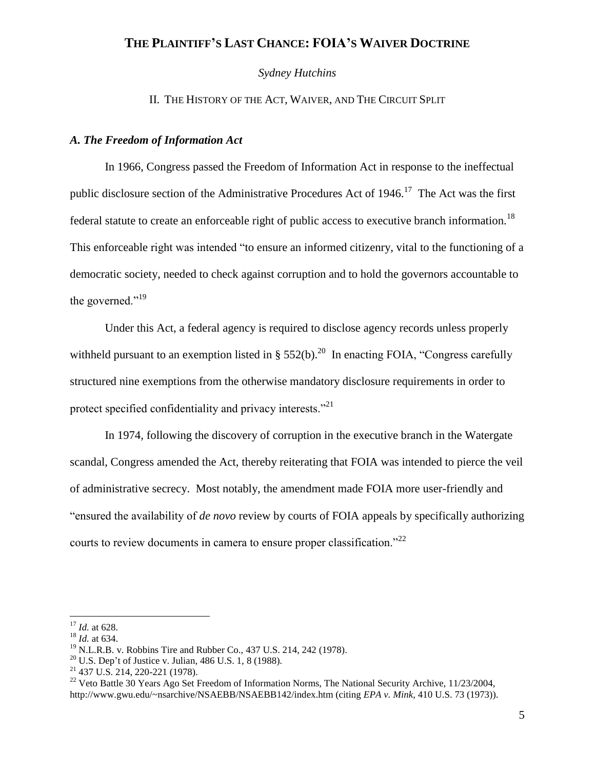*Sydney Hutchins*

II. THE HISTORY OF THE ACT, WAIVER, AND THE CIRCUIT SPLIT

### *A. The Freedom of Information Act*

In 1966, Congress passed the Freedom of Information Act in response to the ineffectual public disclosure section of the Administrative Procedures Act of  $1946$ .<sup>17</sup> The Act was the first federal statute to create an enforceable right of public access to executive branch information.<sup>18</sup> This enforceable right was intended "to ensure an informed citizenry, vital to the functioning of a democratic society, needed to check against corruption and to hold the governors accountable to the governed." $19$ 

Under this Act, a federal agency is required to disclose agency records unless properly withheld pursuant to an exemption listed in §  $552(b)$ .<sup>20</sup> In enacting FOIA, "Congress carefully structured nine exemptions from the otherwise mandatory disclosure requirements in order to protect specified confidentiality and privacy interests. $^{221}$ 

In 1974, following the discovery of corruption in the executive branch in the Watergate scandal, Congress amended the Act, thereby reiterating that FOIA was intended to pierce the veil of administrative secrecy. Most notably, the amendment made FOIA more user-friendly and "ensured the availability of *de novo* review by courts of FOIA appeals by specifically authorizing courts to review documents in camera to ensure proper classification."<sup>22</sup>

 $\overline{a}$ <sup>17</sup> *Id.* at 628.

<sup>18</sup> *Id.* at 634.

 $19$  N.L.R.B. v. Robbins Tire and Rubber Co., 437 U.S. 214, 242 (1978).

<sup>&</sup>lt;sup>20</sup> U.S. Dep't of Justice v. Julian, 486 U.S. 1, 8 (1988).

 $21$  437 U.S. 214, 220-221 (1978).

<sup>&</sup>lt;sup>22</sup> Veto Battle 30 Years Ago Set Freedom of Information Norms, The National Security Archive, 11/23/2004, http://www.gwu.edu/~nsarchive/NSAEBB/NSAEBB142/index.htm (citing *EPA v. Mink*, 410 U.S. 73 (1973)).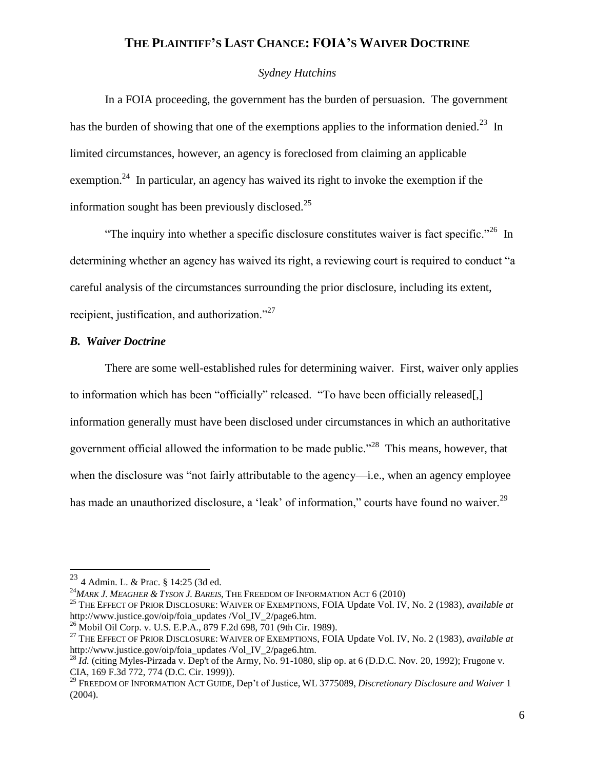### *Sydney Hutchins*

In a FOIA proceeding, the government has the burden of persuasion. The government has the burden of showing that one of the exemptions applies to the information denied.<sup>23</sup> In limited circumstances, however, an agency is foreclosed from claiming an applicable exemption.<sup>24</sup> In particular, an agency has waived its right to invoke the exemption if the information sought has been previously disclosed. $^{25}$ 

"The inquiry into whether a specific disclosure constitutes waiver is fact specific."<sup>26</sup> In determining whether an agency has waived its right, a reviewing court is required to conduct "a careful analysis of the circumstances surrounding the prior disclosure, including its extent, recipient, justification, and authorization."<sup>27</sup>

### *B. Waiver Doctrine*

There are some well-established rules for determining waiver. First, waiver only applies to information which has been "officially" released. "To have been officially released[,] information generally must have been disclosed under circumstances in which an authoritative government official allowed the information to be made public."<sup>28</sup> This means, however, that when the disclosure was "not fairly attributable to the agency—i.e., when an agency employee has made an unauthorized disclosure, a 'leak' of information," courts have found no waiver.<sup>29</sup>

 $23$  4 Admin. L. & Prac. § 14:25 (3d ed.

<sup>24</sup>*MARK J. MEAGHER & TYSON J. BAREIS*, THE FREEDOM OF INFORMATION ACT 6 (2010)

<sup>25</sup> THE EFFECT OF PRIOR DISCLOSURE: WAIVER OF EXEMPTIONS, FOIA Update Vol. IV, No. 2 (1983), *available at* http://www.justice.gov/oip/foia\_updates /Vol\_IV\_2/page6.htm.

<sup>26</sup> Mobil Oil Corp. v. U.S. E.P.A., 879 F.2d 698, 701 (9th Cir. 1989).

<sup>27</sup> THE EFFECT OF PRIOR DISCLOSURE: WAIVER OF EXEMPTIONS, FOIA Update Vol. IV, No. 2 (1983), *available at* http://www.justice.gov/oip/foia\_updates /Vol\_IV\_2/page6.htm.

<sup>&</sup>lt;sup>28</sup> *Id.* (citing Myles-Pirzada v. Dep't of the Army, No. 91-1080, slip op. at 6 (D.D.C. Nov. 20, 1992); Frugone v. CIA, 169 F.3d 772, 774 (D.C. Cir. 1999)).

<sup>29</sup> FREEDOM OF INFORMATION ACT GUIDE, Dep't of Justice, WL 3775089, *Discretionary Disclosure and Waiver* 1 (2004).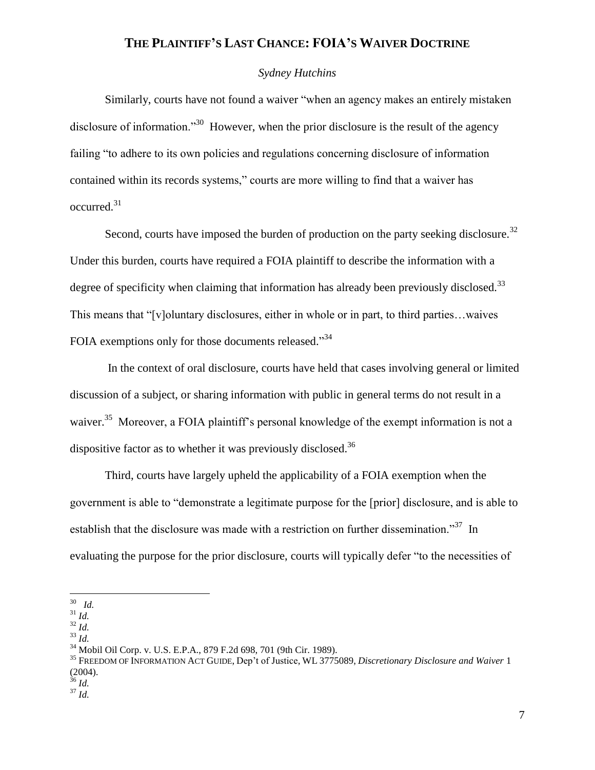### *Sydney Hutchins*

Similarly, courts have not found a waiver "when an agency makes an entirely mistaken disclosure of information."<sup>30</sup> However, when the prior disclosure is the result of the agency failing "to adhere to its own policies and regulations concerning disclosure of information contained within its records systems," courts are more willing to find that a waiver has  $occurred.<sup>31</sup>$ 

Second, courts have imposed the burden of production on the party seeking disclosure.<sup>32</sup> Under this burden, courts have required a FOIA plaintiff to describe the information with a degree of specificity when claiming that information has already been previously disclosed.<sup>33</sup> This means that "[v]oluntary disclosures, either in whole or in part, to third parties…waives FOIA exemptions only for those documents released."<sup>34</sup>

In the context of oral disclosure, courts have held that cases involving general or limited discussion of a subject, or sharing information with public in general terms do not result in a waiver.<sup>35</sup> Moreover, a FOIA plaintiff's personal knowledge of the exempt information is not a dispositive factor as to whether it was previously disclosed.<sup>36</sup>

Third, courts have largely upheld the applicability of a FOIA exemption when the government is able to "demonstrate a legitimate purpose for the [prior] disclosure, and is able to establish that the disclosure was made with a restriction on further dissemination."<sup>37</sup> In evaluating the purpose for the prior disclosure, courts will typically defer "to the necessities of

<sup>33</sup> *Id.*

<sup>35</sup> FREEDOM OF INFORMATION ACT GUIDE, Dep't of Justice, WL 3775089, *Discretionary Disclosure and Waiver* 1 (2004).

 $\frac{37}{1}$ *Id.* 

 30 *Id.*

<sup>31</sup> *Id.*

<sup>32</sup> *Id.*

<sup>34</sup> Mobil Oil Corp. v. U.S. E.P.A., 879 F.2d 698, 701 (9th Cir. 1989).

<sup>36</sup> *Id.*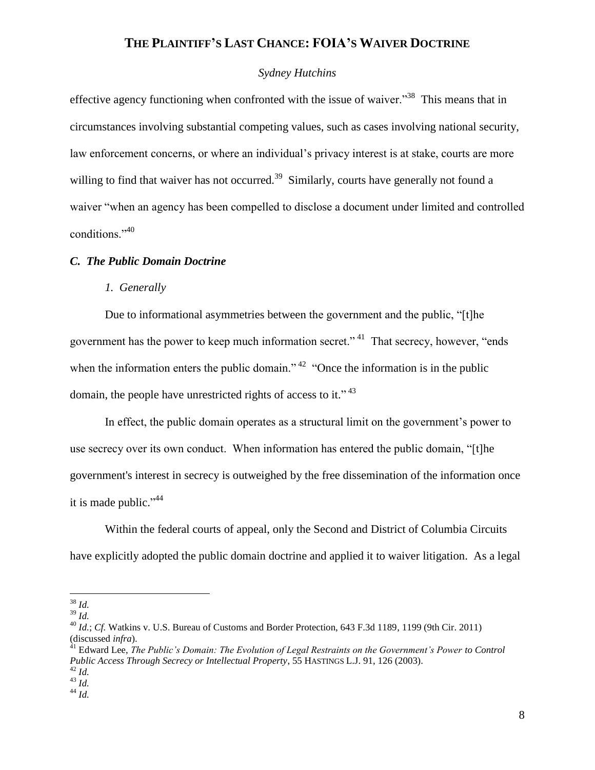### *Sydney Hutchins*

effective agency functioning when confronted with the issue of waiver."<sup>38</sup> This means that in circumstances involving substantial competing values, such as cases involving national security, law enforcement concerns, or where an individual's privacy interest is at stake, courts are more willing to find that waiver has not occurred.<sup>39</sup> Similarly, courts have generally not found a waiver "when an agency has been compelled to disclose a document under limited and controlled conditions."<sup>40</sup>

#### *C. The Public Domain Doctrine*

### *1. Generally*

Due to informational asymmetries between the government and the public, "[t]he government has the power to keep much information secret."<sup>41</sup> That secrecy, however, "ends" when the information enters the public domain."  $42$  "Once the information is in the public domain, the people have unrestricted rights of access to it."<sup>43</sup>

In effect, the public domain operates as a structural limit on the government's power to use secrecy over its own conduct. When information has entered the public domain, "[t]he government's interest in secrecy is outweighed by the free dissemination of the information once it is made public."<sup>44</sup>

Within the federal courts of appeal, only the Second and District of Columbia Circuits have explicitly adopted the public domain doctrine and applied it to waiver litigation. As a legal

<sup>38</sup> *Id.*

<sup>39</sup> *Id.*

<sup>&</sup>lt;sup>40</sup> *Id.*; *Cf.* Watkins v. U.S. Bureau of Customs and Border Protection, 643 F.3d 1189, 1199 (9th Cir. 2011) (discussed *infra*).

<sup>41</sup> Edward Lee, *The Public's Domain: The Evolution of Legal Restraints on the Government's Power to Control Public Access Through Secrecy or Intellectual Property*, 55 HASTINGS L.J. 91, 126 (2003).

<sup>42</sup> *Id.*

<sup>43</sup> *Id.*  $^{44}$   $\overline{1}d$ .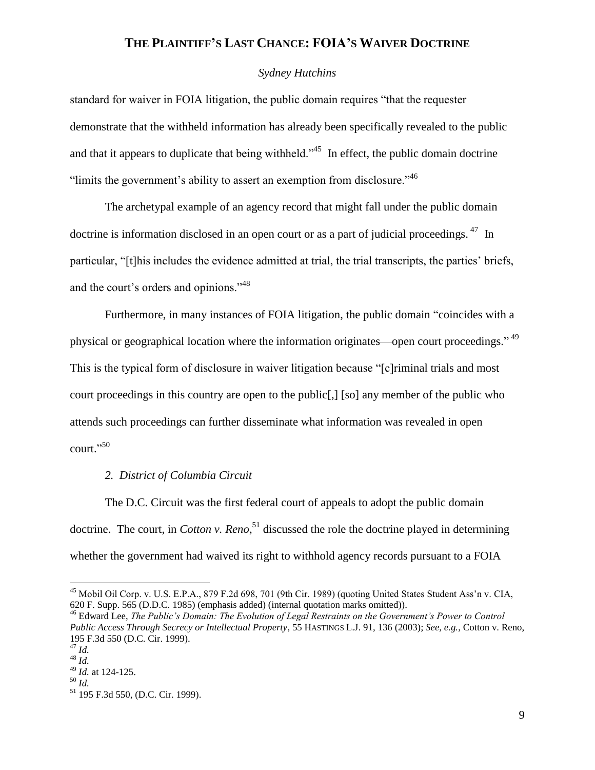### *Sydney Hutchins*

standard for waiver in FOIA litigation, the public domain requires "that the requester demonstrate that the withheld information has already been specifically revealed to the public and that it appears to duplicate that being withheld.<sup> $345$ </sup> In effect, the public domain doctrine "limits the government's ability to assert an exemption from disclosure."  $46$ 

The archetypal example of an agency record that might fall under the public domain doctrine is information disclosed in an open court or as a part of judicial proceedings. <sup>47</sup> In particular, "[t]his includes the evidence admitted at trial, the trial transcripts, the parties' briefs, and the court's orders and opinions."<sup>48</sup>

Furthermore, in many instances of FOIA litigation, the public domain "coincides with a physical or geographical location where the information originates—open court proceedings."<sup>49</sup> This is the typical form of disclosure in waiver litigation because "[c]riminal trials and most court proceedings in this country are open to the public[,] [so] any member of the public who attends such proceedings can further disseminate what information was revealed in open court." 50

### *2. District of Columbia Circuit*

The D.C. Circuit was the first federal court of appeals to adopt the public domain doctrine. The court, in *Cotton v. Reno*, <sup>51</sup> discussed the role the doctrine played in determining whether the government had waived its right to withhold agency records pursuant to a FOIA

<sup>&</sup>lt;sup>45</sup> Mobil Oil Corp. v. U.S. E.P.A., 879 F.2d 698, 701 (9th Cir. 1989) (quoting United States Student Ass'n v. CIA, 620 F. Supp. 565 (D.D.C. 1985) (emphasis added) (internal quotation marks omitted)).

<sup>46</sup> Edward Lee, *The Public's Domain: The Evolution of Legal Restraints on the Government's Power to Control Public Access Through Secrecy or Intellectual Property*, 55 HASTINGS L.J. 91, 136 (2003); *See, e.g.*, Cotton v. Reno, 195 F.3d 550 (D.C. Cir. 1999).

<sup>47</sup> *Id.*

<sup>48</sup> *Id.*

<sup>49</sup> *Id.* at 124-125.

<sup>50</sup> *Id.*

<sup>51</sup> 195 F.3d 550, (D.C. Cir. 1999).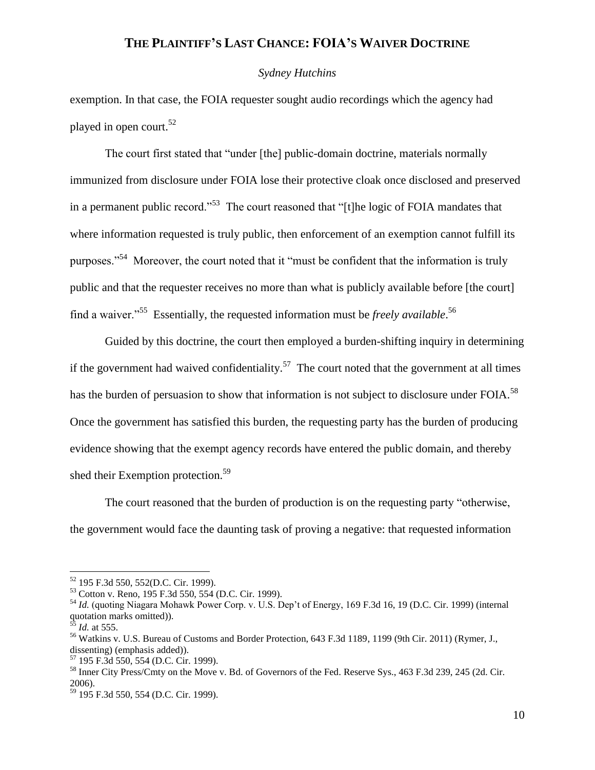#### *Sydney Hutchins*

exemption. In that case, the FOIA requester sought audio recordings which the agency had played in open court.<sup>52</sup>

The court first stated that "under [the] public-domain doctrine, materials normally immunized from disclosure under FOIA lose their protective cloak once disclosed and preserved in a permanent public record."<sup>53</sup> The court reasoned that "[t]he logic of FOIA mandates that where information requested is truly public, then enforcement of an exemption cannot fulfill its purposes."<sup>54</sup> Moreover, the court noted that it "must be confident that the information is truly public and that the requester receives no more than what is publicly available before [the court] find a waiver."<sup>55</sup> Essentially, the requested information must be *freely available*. 56

Guided by this doctrine, the court then employed a burden-shifting inquiry in determining if the government had waived confidentiality.<sup>57</sup> The court noted that the government at all times has the burden of persuasion to show that information is not subject to disclosure under FOIA.<sup>58</sup> Once the government has satisfied this burden, the requesting party has the burden of producing evidence showing that the exempt agency records have entered the public domain, and thereby shed their Exemption protection.<sup>59</sup>

The court reasoned that the burden of production is on the requesting party "otherwise, the government would face the daunting task of proving a negative: that requested information

<sup>52</sup> 195 F.3d 550, 552(D.C. Cir. 1999).

<sup>53</sup> Cotton v. Reno, 195 F.3d 550, 554 (D.C. Cir. 1999).

<sup>54</sup> *Id.* (quoting Niagara Mohawk Power Corp. v. U.S. Dep't of Energy, 169 F.3d 16, 19 (D.C. Cir. 1999) (internal quotation marks omitted)).

<sup>55</sup> *Id.* at 555.

<sup>56</sup> Watkins v. U.S. Bureau of Customs and Border Protection, 643 F.3d 1189, 1199 (9th Cir. 2011) (Rymer, J., dissenting) (emphasis added)).

<sup>57</sup> 195 F.3d 550, 554 (D.C. Cir. 1999).

<sup>58</sup> Inner City Press/Cmty on the Move v. Bd. of Governors of the Fed. Reserve Sys., 463 F.3d 239, 245 (2d. Cir. 2006).

<sup>59</sup> 195 F.3d 550, 554 (D.C. Cir. 1999).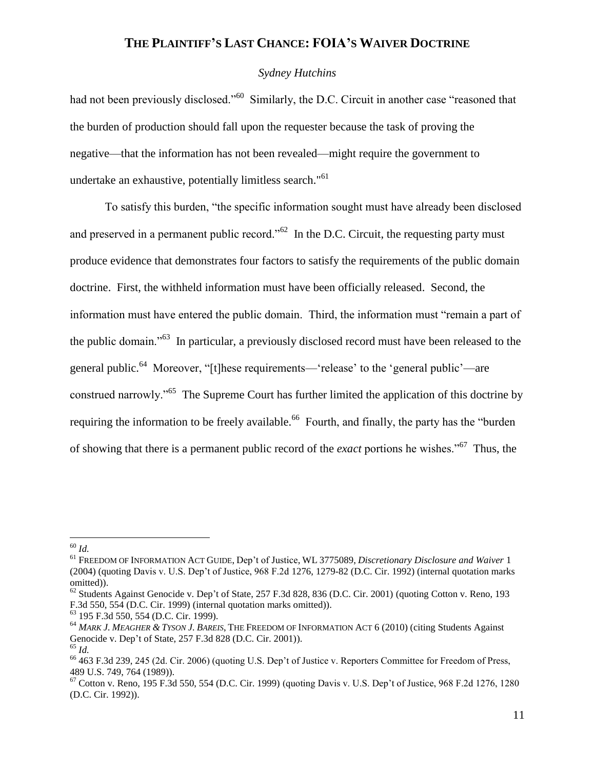### *Sydney Hutchins*

had not been previously disclosed."<sup>60</sup> Similarly, the D.C. Circuit in another case "reasoned that the burden of production should fall upon the requester because the task of proving the negative—that the information has not been revealed—might require the government to undertake an exhaustive, potentially limitless search."<sup>61</sup>

To satisfy this burden, "the specific information sought must have already been disclosed and preserved in a permanent public record." $62$  In the D.C. Circuit, the requesting party must produce evidence that demonstrates four factors to satisfy the requirements of the public domain doctrine. First, the withheld information must have been officially released. Second, the information must have entered the public domain. Third, the information must "remain a part of the public domain."<sup>63</sup> In particular, a previously disclosed record must have been released to the general public.<sup>64</sup> Moreover, "[t]hese requirements—'release' to the 'general public'—are construed narrowly."<sup>65</sup> The Supreme Court has further limited the application of this doctrine by requiring the information to be freely available.<sup>66</sup> Fourth, and finally, the party has the "burden" of showing that there is a permanent public record of the *exact* portions he wishes."<sup>67</sup> Thus, the

 $\overline{a}$ <sup>60</sup> *Id.*

<sup>61</sup> FREEDOM OF INFORMATION ACT GUIDE, Dep't of Justice, WL 3775089, *Discretionary Disclosure and Waiver* 1 (2004) (quoting Davis v. U.S. Dep't of Justice, 968 F.2d 1276, 1279-82 (D.C. Cir. 1992) (internal quotation marks omitted)).

 $62$  Students Against Genocide v. Dep't of State, 257 F.3d 828, 836 (D.C. Cir. 2001) (quoting Cotton v. Reno, 193 F.3d 550, 554 (D.C. Cir. 1999) (internal quotation marks omitted)).

<sup>63</sup> 195 F.3d 550, 554 (D.C. Cir. 1999).

<sup>64</sup> *MARK J. MEAGHER & TYSON J. BAREIS*, THE FREEDOM OF INFORMATION ACT 6 (2010) (citing Students Against Genocide v. Dep't of State, 257 F.3d 828 (D.C. Cir. 2001)).

<sup>65</sup> *Id.*

 $^{66}$  463 F.3d 239, 245 (2d. Cir. 2006) (quoting U.S. Dep't of Justice v. Reporters Committee for Freedom of Press, 489 U.S. 749, 764 (1989)).

<sup>67</sup> Cotton v. Reno, 195 F.3d 550, 554 (D.C. Cir. 1999) (quoting Davis v. U.S. Dep't of Justice, 968 F.2d 1276, 1280 (D.C. Cir. 1992)).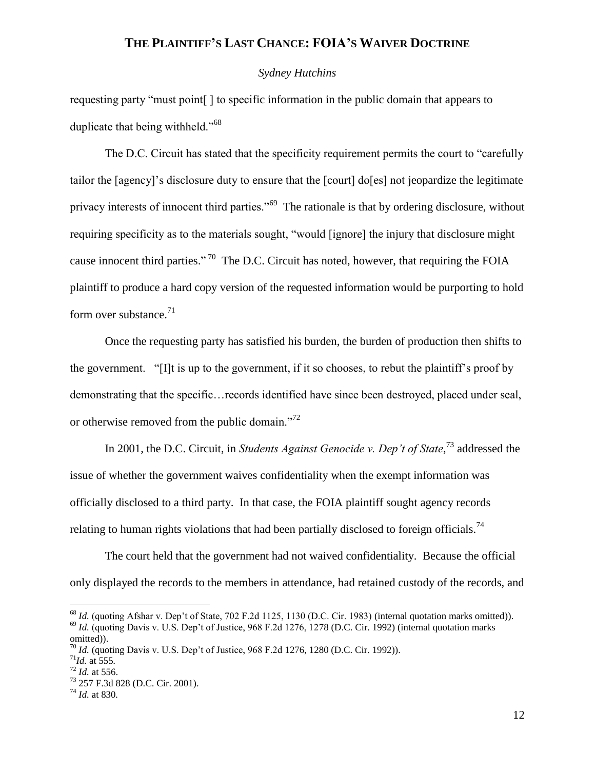#### *Sydney Hutchins*

requesting party "must point[ ] to specific information in the public domain that appears to duplicate that being withheld."<sup>68</sup>

The D.C. Circuit has stated that the specificity requirement permits the court to "carefully tailor the [agency]'s disclosure duty to ensure that the [court] do[es] not jeopardize the legitimate privacy interests of innocent third parties."<sup>69</sup> The rationale is that by ordering disclosure, without requiring specificity as to the materials sought, "would [ignore] the injury that disclosure might cause innocent third parties."<sup>70</sup> The D.C. Circuit has noted, however, that requiring the FOIA plaintiff to produce a hard copy version of the requested information would be purporting to hold form over substance.<sup>71</sup>

Once the requesting party has satisfied his burden, the burden of production then shifts to the government. "[I]t is up to the government, if it so chooses, to rebut the plaintiff's proof by demonstrating that the specific…records identified have since been destroyed, placed under seal, or otherwise removed from the public domain."<sup>72</sup>

In 2001, the D.C. Circuit, in *Students Against Genocide v. Dep't of State*,<sup>73</sup> addressed the issue of whether the government waives confidentiality when the exempt information was officially disclosed to a third party. In that case, the FOIA plaintiff sought agency records relating to human rights violations that had been partially disclosed to foreign officials.<sup>74</sup>

The court held that the government had not waived confidentiality. Because the official only displayed the records to the members in attendance, had retained custody of the records, and

<sup>&</sup>lt;sup>68</sup> *Id.* (quoting Afshar v. Dep't of State, 702 F.2d 1125, 1130 (D.C. Cir. 1983) (internal quotation marks omitted)). <sup>69</sup> *Id.* (quoting Davis v. U.S. Dep't of Justice, 968 F.2d 1276, 1278 (D.C. Cir. 1992) (internal quotation marks omitted)).

<sup>70</sup> *Id.* (quoting Davis v. U.S. Dep't of Justice, 968 F.2d 1276, 1280 (D.C. Cir. 1992)).

<sup>71</sup>*Id.* at 555*.*

<sup>72</sup> *Id.* at 556.

<sup>73</sup> 257 F.3d 828 (D.C. Cir. 2001).

<sup>74</sup> *Id.* at 830*.*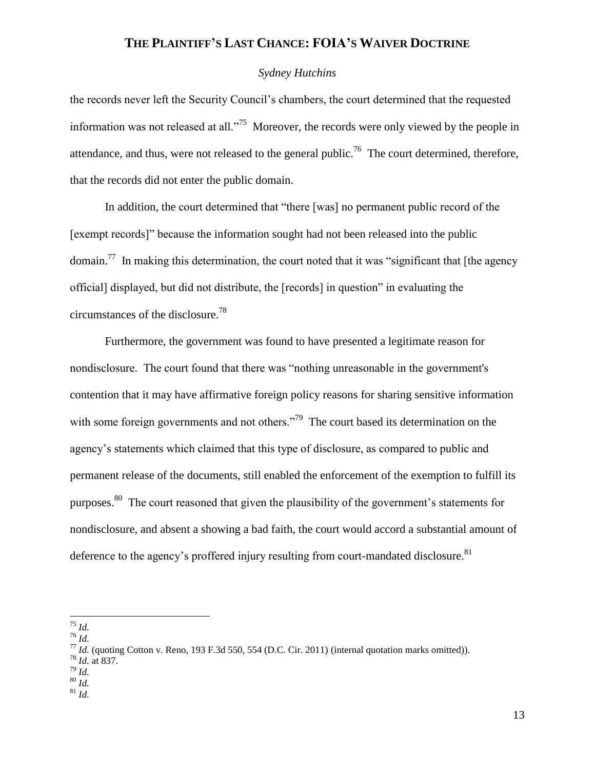### *Sydney Hutchins*

the records never left the Security Council's chambers, the court determined that the requested information was not released at all."<sup>75</sup> Moreover, the records were only viewed by the people in attendance, and thus, were not released to the general public.<sup>76</sup> The court determined, therefore, that the records did not enter the public domain.

In addition, the court determined that "there [was] no permanent public record of the [exempt records]" because the information sought had not been released into the public domain.<sup>77</sup> In making this determination, the court noted that it was "significant that [the agency official] displayed, but did not distribute, the [records] in question" in evaluating the circumstances of the disclosure.<sup>78</sup>

Furthermore, the government was found to have presented a legitimate reason for nondisclosure. The court found that there was "nothing unreasonable in the government's contention that it may have affirmative foreign policy reasons for sharing sensitive information with some foreign governments and not others."<sup>79</sup> The court based its determination on the agency's statements which claimed that this type of disclosure, as compared to public and permanent release of the documents, still enabled the enforcement of the exemption to fulfill its purposes.<sup>80</sup> The court reasoned that given the plausibility of the government's statements for nondisclosure, and absent a showing a bad faith, the court would accord a substantial amount of deference to the agency's proffered injury resulting from court-mandated disclosure.<sup>81</sup>

 $\overline{a}$ <sup>75</sup> *Id.*

 $^{76}$   $\overline{Id}$ .

- <sup>78</sup> *Id.* at 837.
- <sup>79</sup> *Id.*
- <sup>80</sup> *Id.*
- $81$  *Id.*

<sup>77</sup> *Id.* (quoting Cotton v. Reno, 193 F.3d 550, 554 (D.C. Cir. 2011) (internal quotation marks omitted)).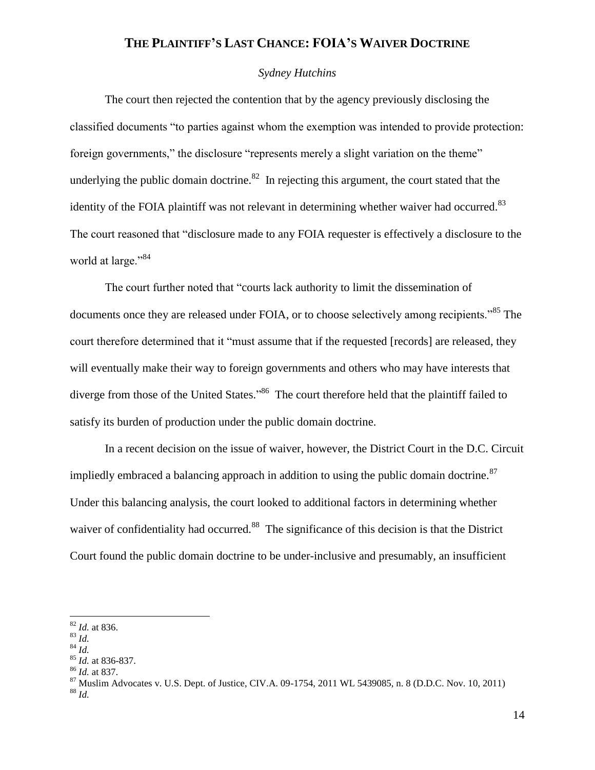### *Sydney Hutchins*

The court then rejected the contention that by the agency previously disclosing the classified documents "to parties against whom the exemption was intended to provide protection: foreign governments," the disclosure "represents merely a slight variation on the theme" underlying the public domain doctrine. $82$  In rejecting this argument, the court stated that the identity of the FOIA plaintiff was not relevant in determining whether waiver had occurred.<sup>83</sup> The court reasoned that "disclosure made to any FOIA requester is effectively a disclosure to the world at large."<sup>84</sup>

The court further noted that "courts lack authority to limit the dissemination of documents once they are released under FOIA, or to choose selectively among recipients.<sup>85</sup> The court therefore determined that it "must assume that if the requested [records] are released, they will eventually make their way to foreign governments and others who may have interests that diverge from those of the United States."<sup>86</sup> The court therefore held that the plaintiff failed to satisfy its burden of production under the public domain doctrine.

In a recent decision on the issue of waiver, however, the District Court in the D.C. Circuit impliedly embraced a balancing approach in addition to using the public domain doctrine. $87$ Under this balancing analysis, the court looked to additional factors in determining whether waiver of confidentiality had occurred.<sup>88</sup> The significance of this decision is that the District Court found the public domain doctrine to be under-inclusive and presumably, an insufficient

<sup>82</sup> *Id.* at 836.

<sup>83</sup> *Id.*

<sup>84</sup> *Id.*

<sup>85</sup> *Id.* at 836-837.

<sup>86</sup> *Id.* at 837.

 $87$  Muslim Advocates v. U.S. Dept. of Justice, CIV.A. 09-1754, 2011 WL 5439085, n. 8 (D.D.C. Nov. 10, 2011) <sup>88</sup> *Id.*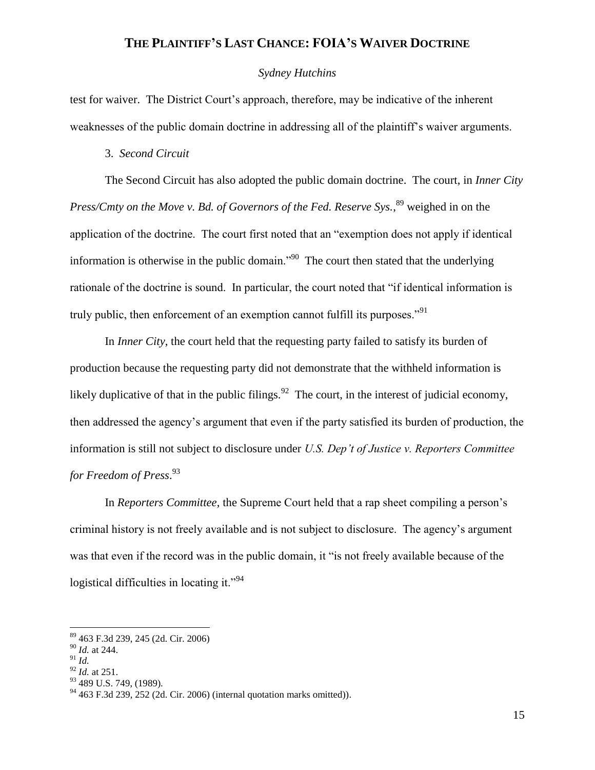### *Sydney Hutchins*

test for waiver. The District Court's approach, therefore, may be indicative of the inherent weaknesses of the public domain doctrine in addressing all of the plaintiff's waiver arguments.

#### 3. *Second Circuit*

The Second Circuit has also adopted the public domain doctrine. The court, in *Inner City*  Press/Cmty on the Move v. Bd. of Governors of the Fed. Reserve Sys.,<sup>89</sup> weighed in on the application of the doctrine. The court first noted that an "exemption does not apply if identical information is otherwise in the public domain.<sup> $290$ </sup> The court then stated that the underlying rationale of the doctrine is sound. In particular, the court noted that "if identical information is truly public, then enforcement of an exemption cannot fulfill its purposes."<sup>91</sup>

In *Inner City*, the court held that the requesting party failed to satisfy its burden of production because the requesting party did not demonstrate that the withheld information is likely duplicative of that in the public filings.  $92$  The court, in the interest of judicial economy, then addressed the agency's argument that even if the party satisfied its burden of production, the information is still not subject to disclosure under *U.S. Dep't of Justice v. Reporters Committee for Freedom of Press*. 93

In *Reporters Committee*, the Supreme Court held that a rap sheet compiling a person's criminal history is not freely available and is not subject to disclosure. The agency's argument was that even if the record was in the public domain, it "is not freely available because of the logistical difficulties in locating it."<sup>94</sup>

<sup>89</sup> 463 F.3d 239, 245 (2d. Cir. 2006)

<sup>90</sup> *Id.* at 244.

<sup>91</sup> *Id.*

<sup>92</sup> *Id.* at 251.

<sup>&</sup>lt;sup>93</sup> 489 U.S. 749, (1989).

 $94\,463$  F.3d 239, 252 (2d. Cir. 2006) (internal quotation marks omitted)).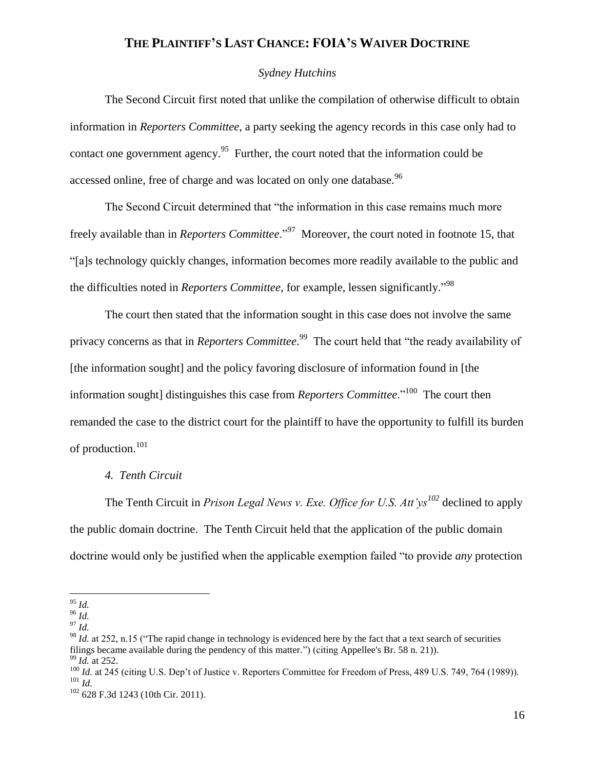### *Sydney Hutchins*

The Second Circuit first noted that unlike the compilation of otherwise difficult to obtain information in *Reporters Committee*, a party seeking the agency records in this case only had to contact one government agency.<sup>95</sup> Further, the court noted that the information could be accessed online, free of charge and was located on only one database.<sup>96</sup>

The Second Circuit determined that "the information in this case remains much more freely available than in *Reporters Committee*."<sup>97</sup> Moreover, the court noted in footnote 15, that "[a]s technology quickly changes, information becomes more readily available to the public and the difficulties noted in *Reporters Committee*, for example, lessen significantly." 98

The court then stated that the information sought in this case does not involve the same privacy concerns as that in *Reporters Committee*. 99 The court held that "the ready availability of [the information sought] and the policy favoring disclosure of information found in [the information sought] distinguishes this case from *Reporters Committee*."<sup>100</sup> The court then remanded the case to the district court for the plaintiff to have the opportunity to fulfill its burden of production.<sup>101</sup>

### *4. Tenth Circuit*

The Tenth Circuit in *Prison Legal News v. Exe. Office for U.S. Att'ys<sup>102</sup>* declined to apply the public domain doctrine. The Tenth Circuit held that the application of the public domain doctrine would only be justified when the applicable exemption failed "to provide *any* protection

<sup>95</sup> *Id.*

<sup>96</sup> *Id.*

<sup>97</sup> *Id.*

<sup>&</sup>lt;sup>98</sup> *Id.* at 252, n.15 ("The rapid change in technology is evidenced here by the fact that a text search of securities filings became available during the pendency of this matter.") (citing Appellee's Br. 58 n. 21)). <sup>99</sup> *Id.* at 252.

<sup>&</sup>lt;sup>100</sup> *Id.* at 245 (citing U.S. Dep't of Justice v. Reporters Committee for Freedom of Press, 489 U.S. 749, 764 (1989)). <sup>101</sup> *Id.*

<sup>&</sup>lt;sup>102</sup> 628 F.3d 1243 (10th Cir. 2011).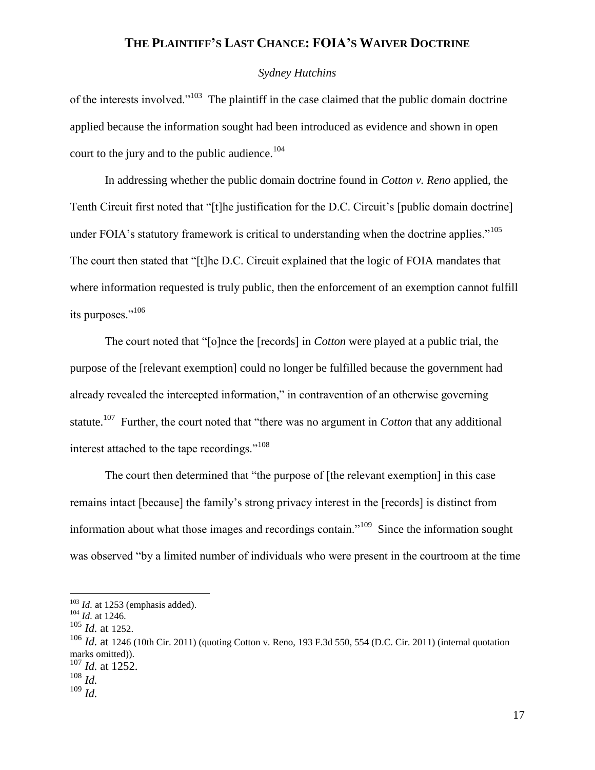### *Sydney Hutchins*

of the interests involved."<sup>103</sup> The plaintiff in the case claimed that the public domain doctrine applied because the information sought had been introduced as evidence and shown in open court to the jury and to the public audience.<sup>104</sup>

In addressing whether the public domain doctrine found in *Cotton v. Reno* applied, the Tenth Circuit first noted that "[t]he justification for the D.C. Circuit's [public domain doctrine] under FOIA's statutory framework is critical to understanding when the doctrine applies."<sup>105</sup> The court then stated that "[t]he D.C. Circuit explained that the logic of FOIA mandates that where information requested is truly public, then the enforcement of an exemption cannot fulfill its purposes."<sup>106</sup>

The court noted that "[o]nce the [records] in *Cotton* were played at a public trial, the purpose of the [relevant exemption] could no longer be fulfilled because the government had already revealed the intercepted information," in contravention of an otherwise governing statute.<sup>107</sup> Further, the court noted that "there was no argument in *Cotton* that any additional interest attached to the tape recordings."<sup>108</sup>

The court then determined that "the purpose of [the relevant exemption] in this case remains intact [because] the family's strong privacy interest in the [records] is distinct from information about what those images and recordings contain."<sup>109</sup> Since the information sought was observed "by a limited number of individuals who were present in the courtroom at the time

<sup>&</sup>lt;sup>103</sup> *Id.* at 1253 (emphasis added).

<sup>104</sup> *Id.* at 1246.

<sup>105</sup> *Id.* at 1252.

<sup>106</sup> *Id.* at <sup>1246</sup> (10th Cir. 2011) (quoting Cotton v. Reno, 193 F.3d 550, 554 (D.C. Cir. 2011) (internal quotation marks omitted)).

<sup>107</sup> *Id.* at 1252. <sup>108</sup> *Id.*

<sup>109</sup> *Id.*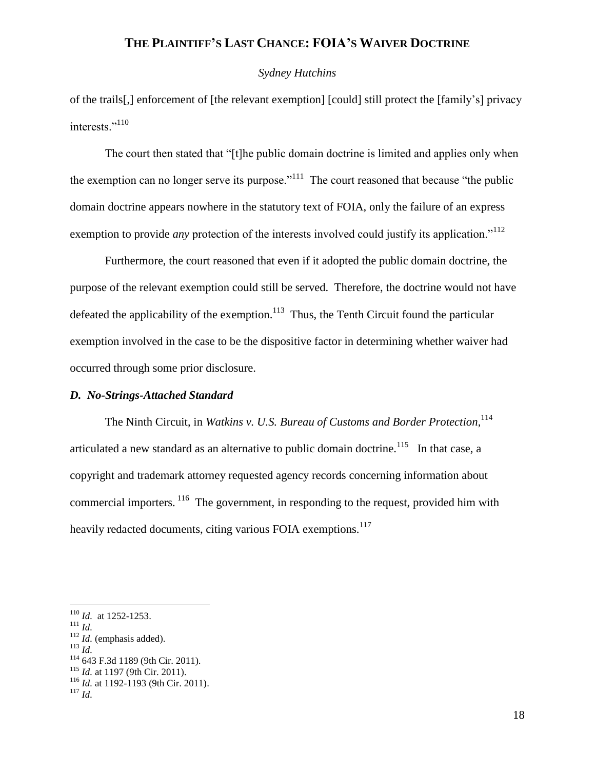#### *Sydney Hutchins*

of the trails[,] enforcement of [the relevant exemption] [could] still protect the [family's] privacy interests."<sup>110</sup>

The court then stated that "[t]he public domain doctrine is limited and applies only when the exemption can no longer serve its purpose.<sup> $111$ </sup> The court reasoned that because "the public domain doctrine appears nowhere in the statutory text of FOIA, only the failure of an express exemption to provide *any* protection of the interests involved could justify its application."<sup>112</sup>

Furthermore, the court reasoned that even if it adopted the public domain doctrine, the purpose of the relevant exemption could still be served. Therefore, the doctrine would not have defeated the applicability of the exemption.<sup>113</sup> Thus, the Tenth Circuit found the particular exemption involved in the case to be the dispositive factor in determining whether waiver had occurred through some prior disclosure.

### *D. No-Strings-Attached Standard*

The Ninth Circuit, in *Watkins v. U.S. Bureau of Customs and Border Protection*, 114 articulated a new standard as an alternative to public domain doctrine.<sup>115</sup> In that case, a copyright and trademark attorney requested agency records concerning information about commercial importers. <sup>116</sup> The government, in responding to the request, provided him with heavily redacted documents, citing various FOIA exemptions.<sup>117</sup>

- <sup>112</sup> *Id.* (emphasis added).
- $^{113}$  *Id*.

<sup>110</sup> *Id.* at 1252-1253.

 $111$  *Id.* 

<sup>114</sup> 643 F.3d 1189 (9th Cir. 2011).

<sup>115</sup> *Id.* at 1197 (9th Cir. 2011).

<sup>116</sup> *Id.* at 1192-1193 (9th Cir. 2011).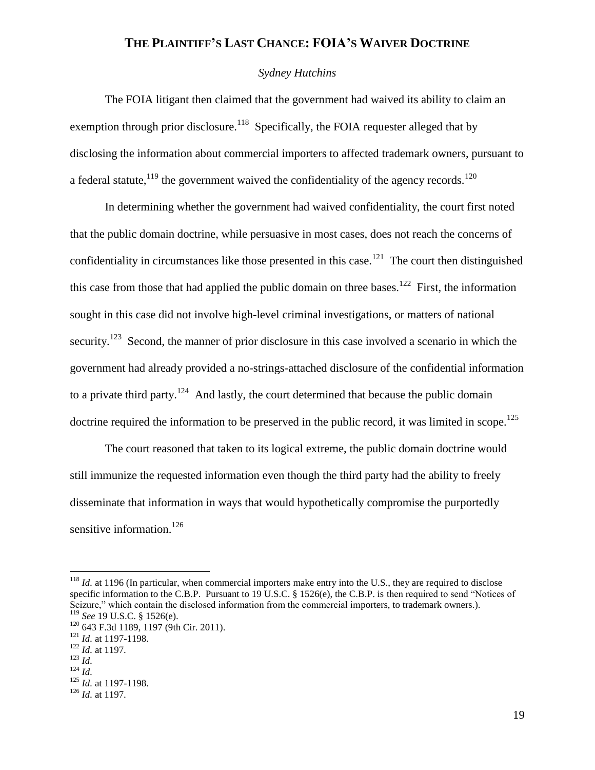### *Sydney Hutchins*

The FOIA litigant then claimed that the government had waived its ability to claim an exemption through prior disclosure.<sup>118</sup> Specifically, the FOIA requester alleged that by disclosing the information about commercial importers to affected trademark owners, pursuant to a federal statute,<sup>119</sup> the government waived the confidentiality of the agency records.<sup>120</sup>

In determining whether the government had waived confidentiality, the court first noted that the public domain doctrine, while persuasive in most cases, does not reach the concerns of confidentiality in circumstances like those presented in this case.<sup>121</sup> The court then distinguished this case from those that had applied the public domain on three bases.<sup>122</sup> First, the information sought in this case did not involve high-level criminal investigations, or matters of national security.<sup>123</sup> Second, the manner of prior disclosure in this case involved a scenario in which the government had already provided a no-strings-attached disclosure of the confidential information to a private third party.<sup>124</sup> And lastly, the court determined that because the public domain doctrine required the information to be preserved in the public record, it was limited in scope.<sup>125</sup>

The court reasoned that taken to its logical extreme, the public domain doctrine would still immunize the requested information even though the third party had the ability to freely disseminate that information in ways that would hypothetically compromise the purportedly sensitive information.<sup>126</sup>

 $118$  *Id.* at 1196 (In particular, when commercial importers make entry into the U.S., they are required to disclose specific information to the C.B.P. Pursuant to 19 U.S.C. § 1526(e), the C.B.P. is then required to send "Notices of Seizure," which contain the disclosed information from the commercial importers, to trademark owners.). <sup>119</sup> *See* 19 U.S.C. § 1526(e).

<sup>120</sup> 643 F.3d 1189, 1197 (9th Cir. 2011).

<sup>121</sup> *Id.* at 1197-1198.

<sup>122</sup> *Id.* at 1197.

<sup>123</sup> *Id.*

<sup>124</sup> *Id.*

<sup>125</sup> *Id.* at 1197-1198.

<sup>126</sup> *Id.* at 1197.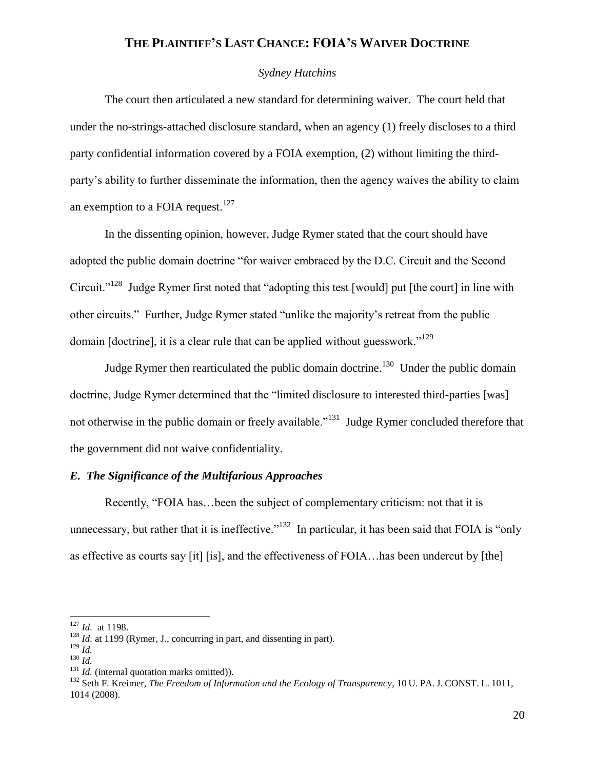### *Sydney Hutchins*

The court then articulated a new standard for determining waiver. The court held that under the no-strings-attached disclosure standard, when an agency (1) freely discloses to a third party confidential information covered by a FOIA exemption, (2) without limiting the thirdparty's ability to further disseminate the information, then the agency waives the ability to claim an exemption to a FOIA request.<sup>127</sup>

In the dissenting opinion, however, Judge Rymer stated that the court should have adopted the public domain doctrine "for waiver embraced by the D.C. Circuit and the Second Circuit."<sup>128</sup> Judge Rymer first noted that "adopting this test [would] put [the court] in line with other circuits." Further, Judge Rymer stated "unlike the majority's retreat from the public domain [doctrine], it is a clear rule that can be applied without guesswork."<sup>129</sup>

Judge Rymer then rearticulated the public domain doctrine.<sup>130</sup> Under the public domain doctrine, Judge Rymer determined that the "limited disclosure to interested third-parties [was] not otherwise in the public domain or freely available."<sup>131</sup> Judge Rymer concluded therefore that the government did not waive confidentiality.

### *E. The Significance of the Multifarious Approaches*

Recently, "FOIA has…been the subject of complementary criticism: not that it is unnecessary, but rather that it is ineffective."<sup>132</sup> In particular, it has been said that FOIA is "only" as effective as courts say [it] [is], and the effectiveness of FOIA…has been undercut by [the]

<sup>127</sup> *Id.* at 1198.

<sup>&</sup>lt;sup>128</sup> *Id.* at 1199 (Rymer, J., concurring in part, and dissenting in part).

 $129$  *Id.* 

<sup>130</sup> *Id.*

<sup>&</sup>lt;sup>131</sup> *Id.* (internal quotation marks omitted)).

<sup>132</sup> Seth F. Kreimer, *The Freedom of Information and the Ecology of Transparency*, 10 U. PA. J. CONST. L. 1011, 1014 (2008).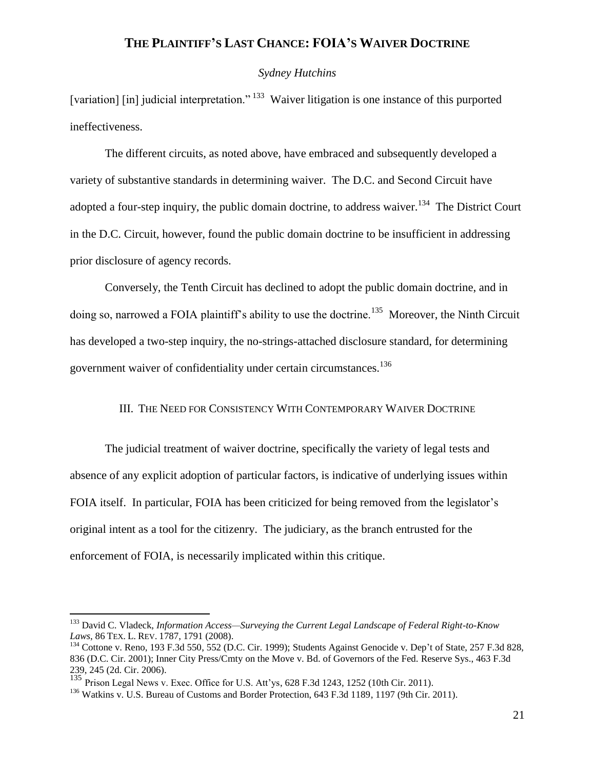#### *Sydney Hutchins*

[variation] [in] judicial interpretation."<sup>133</sup> Waiver litigation is one instance of this purported ineffectiveness.

The different circuits, as noted above, have embraced and subsequently developed a variety of substantive standards in determining waiver. The D.C. and Second Circuit have adopted a four-step inquiry, the public domain doctrine, to address waiver.<sup>134</sup> The District Court in the D.C. Circuit, however, found the public domain doctrine to be insufficient in addressing prior disclosure of agency records.

Conversely, the Tenth Circuit has declined to adopt the public domain doctrine, and in doing so, narrowed a FOIA plaintiff's ability to use the doctrine.<sup>135</sup> Moreover, the Ninth Circuit has developed a two-step inquiry, the no-strings-attached disclosure standard, for determining government waiver of confidentiality under certain circumstances.<sup>136</sup>

#### III. THE NEED FOR CONSISTENCY WITH CONTEMPORARY WAIVER DOCTRINE

The judicial treatment of waiver doctrine, specifically the variety of legal tests and absence of any explicit adoption of particular factors, is indicative of underlying issues within FOIA itself. In particular, FOIA has been criticized for being removed from the legislator's original intent as a tool for the citizenry. The judiciary, as the branch entrusted for the enforcement of FOIA, is necessarily implicated within this critique.

<sup>133</sup> David C. Vladeck, *Information Access—Surveying the Current Legal Landscape of Federal Right-to-Know Laws*, 86 TEX. L. REV. 1787, 1791 (2008).

<sup>&</sup>lt;sup>134</sup> Cottone v. Reno, 193 F.3d 550, 552 (D.C. Cir. 1999); Students Against Genocide v. Dep't of State, 257 F.3d 828, 836 (D.C. Cir. 2001); Inner City Press/Cmty on the Move v. Bd. of Governors of the Fed. Reserve Sys., 463 F.3d 239, 245 (2d. Cir. 2006).

 $135$  Prison Legal News v. Exec. Office for U.S. Att'ys, 628 F.3d 1243, 1252 (10th Cir. 2011).

<sup>&</sup>lt;sup>136</sup> Watkins v. U.S. Bureau of Customs and Border Protection, 643 F.3d 1189, 1197 (9th Cir. 2011).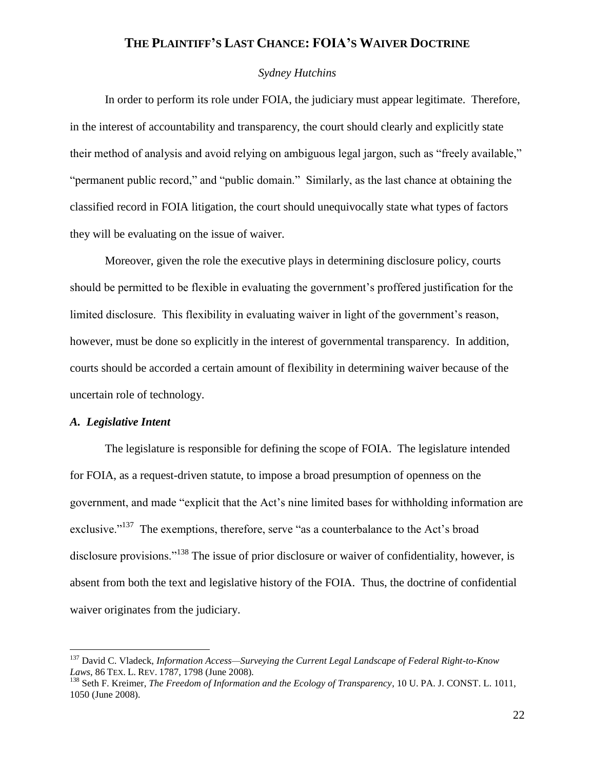### *Sydney Hutchins*

In order to perform its role under FOIA, the judiciary must appear legitimate. Therefore, in the interest of accountability and transparency, the court should clearly and explicitly state their method of analysis and avoid relying on ambiguous legal jargon, such as "freely available," "permanent public record," and "public domain." Similarly, as the last chance at obtaining the classified record in FOIA litigation, the court should unequivocally state what types of factors they will be evaluating on the issue of waiver.

Moreover, given the role the executive plays in determining disclosure policy, courts should be permitted to be flexible in evaluating the government's proffered justification for the limited disclosure. This flexibility in evaluating waiver in light of the government's reason, however, must be done so explicitly in the interest of governmental transparency. In addition, courts should be accorded a certain amount of flexibility in determining waiver because of the uncertain role of technology.

### *A. Legislative Intent*

 $\overline{a}$ 

The legislature is responsible for defining the scope of FOIA. The legislature intended for FOIA, as a request-driven statute, to impose a broad presumption of openness on the government, and made "explicit that the Act's nine limited bases for withholding information are exclusive."<sup>137</sup> The exemptions, therefore, serve "as a counterbalance to the Act's broad disclosure provisions."<sup>138</sup> The issue of prior disclosure or waiver of confidentiality, however, is absent from both the text and legislative history of the FOIA. Thus, the doctrine of confidential waiver originates from the judiciary.

<sup>137</sup> David C. Vladeck, *Information Access—Surveying the Current Legal Landscape of Federal Right-to-Know Laws*, 86 TEX. L. REV. 1787, 1798 (June 2008).

<sup>138</sup> Seth F. Kreimer, *The Freedom of Information and the Ecology of Transparency*, 10 U. PA. J. CONST. L. 1011, 1050 (June 2008).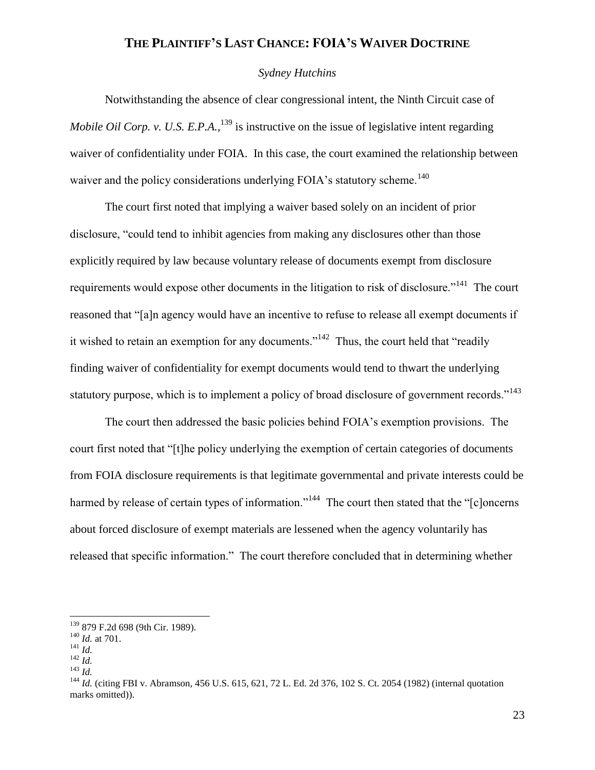### *Sydney Hutchins*

Notwithstanding the absence of clear congressional intent, the Ninth Circuit case of *Mobile Oil Corp. v. U.S. E.P.A.*, <sup>139</sup> is instructive on the issue of legislative intent regarding waiver of confidentiality under FOIA. In this case, the court examined the relationship between waiver and the policy considerations underlying FOIA's statutory scheme.<sup>140</sup>

The court first noted that implying a waiver based solely on an incident of prior disclosure, "could tend to inhibit agencies from making any disclosures other than those explicitly required by law because voluntary release of documents exempt from disclosure requirements would expose other documents in the litigation to risk of disclosure."<sup>141</sup> The court reasoned that "[a]n agency would have an incentive to refuse to release all exempt documents if it wished to retain an exemption for any documents."<sup>142</sup> Thus, the court held that "readily" finding waiver of confidentiality for exempt documents would tend to thwart the underlying statutory purpose, which is to implement a policy of broad disclosure of government records."<sup>143</sup>

The court then addressed the basic policies behind FOIA's exemption provisions. The court first noted that "[t]he policy underlying the exemption of certain categories of documents from FOIA disclosure requirements is that legitimate governmental and private interests could be harmed by release of certain types of information."<sup>144</sup> The court then stated that the "[c]oncerns about forced disclosure of exempt materials are lessened when the agency voluntarily has released that specific information." The court therefore concluded that in determining whether

<sup>&</sup>lt;sup>139</sup> 879 F.2d 698 (9th Cir. 1989).

<sup>140</sup> *Id.* at 701.

<sup>141</sup> *Id.*

<sup>142</sup> *Id.*

<sup>143</sup> *Id.*

<sup>&</sup>lt;sup>144</sup> *Id.* (citing FBI v. Abramson, 456 U.S. 615, 621, 72 L. Ed. 2d 376, 102 S. Ct. 2054 (1982) (internal quotation marks omitted)).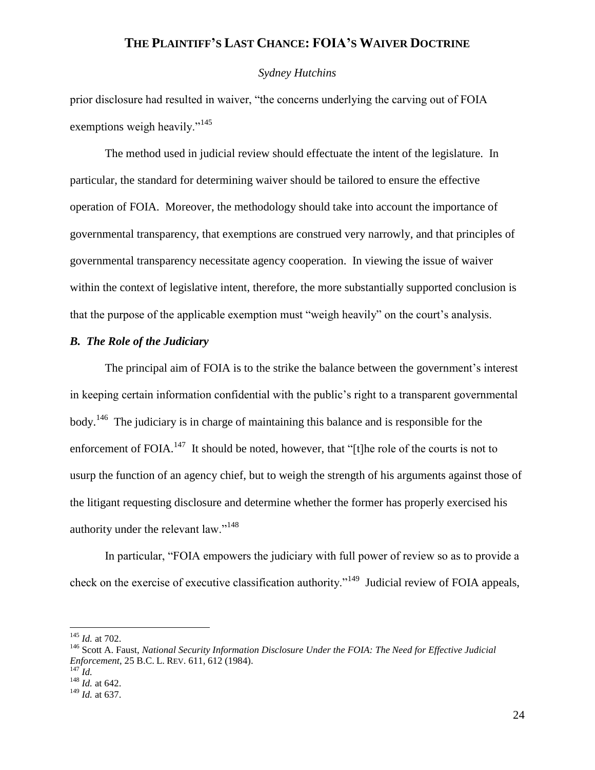#### *Sydney Hutchins*

prior disclosure had resulted in waiver, "the concerns underlying the carving out of FOIA exemptions weigh heavily."<sup>145</sup>

The method used in judicial review should effectuate the intent of the legislature. In particular, the standard for determining waiver should be tailored to ensure the effective operation of FOIA. Moreover, the methodology should take into account the importance of governmental transparency, that exemptions are construed very narrowly, and that principles of governmental transparency necessitate agency cooperation. In viewing the issue of waiver within the context of legislative intent, therefore, the more substantially supported conclusion is that the purpose of the applicable exemption must "weigh heavily" on the court's analysis.

### *B. The Role of the Judiciary*

The principal aim of FOIA is to the strike the balance between the government's interest in keeping certain information confidential with the public's right to a transparent governmental body.<sup>146</sup> The judiciary is in charge of maintaining this balance and is responsible for the enforcement of FOIA.<sup>147</sup> It should be noted, however, that "[t]he role of the courts is not to usurp the function of an agency chief, but to weigh the strength of his arguments against those of the litigant requesting disclosure and determine whether the former has properly exercised his authority under the relevant law."<sup>148</sup>

In particular, "FOIA empowers the judiciary with full power of review so as to provide a check on the exercise of executive classification authority."<sup>149</sup> Judicial review of FOIA appeals,

<sup>145</sup> *Id.* at 702.

<sup>146</sup> Scott A. Faust, *National Security Information Disclosure Under the FOIA: The Need for Effective Judicial Enforcement*, 25 B.C. L. REV. 611, 612 (1984).

 $^{147}$  *Id.*  $\frac{148}{1}$  *Id.* at 642.

<sup>149</sup> *Id.* at 637.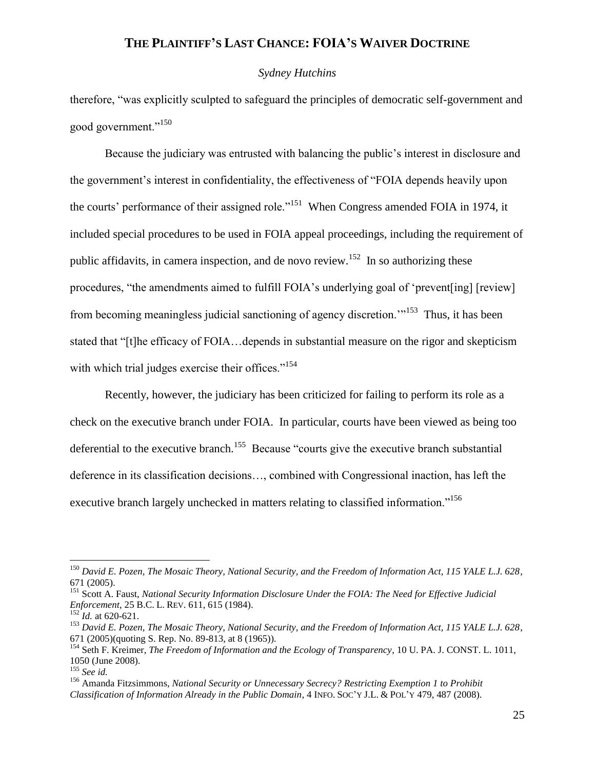#### *Sydney Hutchins*

therefore, "was explicitly sculpted to safeguard the principles of democratic self-government and good government."<sup>150</sup>

Because the judiciary was entrusted with balancing the public's interest in disclosure and the government's interest in confidentiality, the effectiveness of "FOIA depends heavily upon the courts' performance of their assigned role."<sup>151</sup> When Congress amended FOIA in 1974, it included special procedures to be used in FOIA appeal proceedings, including the requirement of public affidavits, in camera inspection, and de novo review.<sup>152</sup> In so authorizing these procedures, "the amendments aimed to fulfill FOIA's underlying goal of 'prevent[ing] [review] from becoming meaningless judicial sanctioning of agency discretion.<sup>"153</sup> Thus, it has been stated that "[t]he efficacy of FOIA…depends in substantial measure on the rigor and skepticism with which trial judges exercise their offices."<sup>154</sup>

Recently, however, the judiciary has been criticized for failing to perform its role as a check on the executive branch under FOIA. In particular, courts have been viewed as being too deferential to the executive branch.<sup>155</sup> Because "courts give the executive branch substantial deference in its classification decisions…, combined with Congressional inaction, has left the executive branch largely unchecked in matters relating to classified information."<sup>156</sup>

<sup>150</sup> *David E. Pozen, The Mosaic Theory, National Security, and the Freedom of Information Act, 115 YALE L.J. 628*, 671 (2005).

<sup>151</sup> Scott A. Faust, *National Security Information Disclosure Under the FOIA: The Need for Effective Judicial Enforcement*, 25 B.C. L. REV. 611, 615 (1984).

 $152 \times 100$ . at 620-621.

<sup>153</sup> *David E. Pozen, The Mosaic Theory, National Security, and the Freedom of Information Act, 115 YALE L.J. 628*, 671 (2005)(quoting S. Rep. No. 89-813, at 8 (1965)).

<sup>154</sup> Seth F. Kreimer, *The Freedom of Information and the Ecology of Transparency*, 10 U. PA. J. CONST. L. 1011, 1050 (June 2008).

<sup>155</sup> *See id.* 

<sup>156</sup> Amanda Fitzsimmons, *National Security or Unnecessary Secrecy? Restricting Exemption 1 to Prohibit Classification of Information Already in the Public Domain*, 4 INFO. SOC'Y J.L. & POL'Y 479, 487 (2008).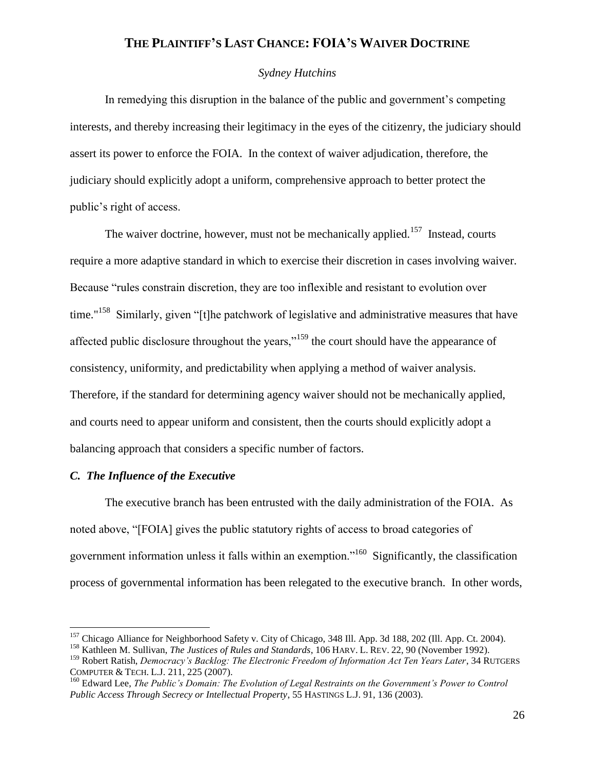### *Sydney Hutchins*

In remedying this disruption in the balance of the public and government's competing interests, and thereby increasing their legitimacy in the eyes of the citizenry, the judiciary should assert its power to enforce the FOIA. In the context of waiver adjudication, therefore, the judiciary should explicitly adopt a uniform, comprehensive approach to better protect the public's right of access.

The waiver doctrine, however, must not be mechanically applied.<sup>157</sup> Instead, courts require a more adaptive standard in which to exercise their discretion in cases involving waiver. Because "rules constrain discretion, they are too inflexible and resistant to evolution over time."<sup>158</sup> Similarly, given "[t]he patchwork of legislative and administrative measures that have affected public disclosure throughout the years,<sup>159</sup> the court should have the appearance of consistency, uniformity, and predictability when applying a method of waiver analysis. Therefore, if the standard for determining agency waiver should not be mechanically applied, and courts need to appear uniform and consistent, then the courts should explicitly adopt a balancing approach that considers a specific number of factors.

### *C. The Influence of the Executive*

 $\overline{a}$ 

The executive branch has been entrusted with the daily administration of the FOIA. As noted above, "[FOIA] gives the public statutory rights of access to broad categories of government information unless it falls within an exemption."<sup>160</sup> Significantly, the classification process of governmental information has been relegated to the executive branch. In other words,

<sup>&</sup>lt;sup>157</sup> Chicago Alliance for Neighborhood Safety v. City of Chicago, 348 Ill. App. 3d 188, 202 (Ill. App. Ct. 2004).

<sup>158</sup> Kathleen M. Sullivan, *The Justices of Rules and Standards*, 106 HARV. L. REV. 22, 90 (November 1992).

<sup>159</sup> Robert Ratish, *Democracy's Backlog: The Electronic Freedom of Information Act Ten Years Later*, 34 RUTGERS COMPUTER & TECH. L.J. 211, 225 (2007).

<sup>&</sup>lt;sup>160</sup> Edward Lee, *The Public's Domain: The Evolution of Legal Restraints on the Government's Power to Control Public Access Through Secrecy or Intellectual Property*, 55 HASTINGS L.J. 91, 136 (2003).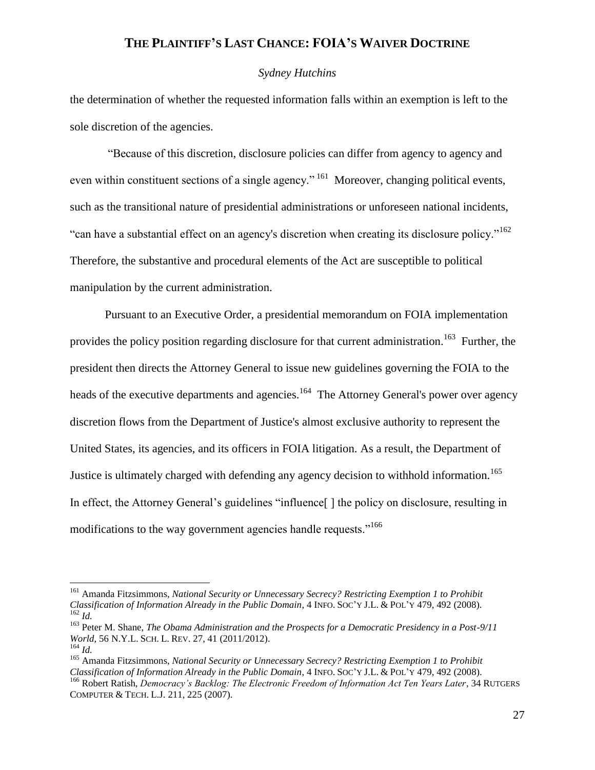#### *Sydney Hutchins*

the determination of whether the requested information falls within an exemption is left to the sole discretion of the agencies.

"Because of this discretion, disclosure policies can differ from agency to agency and even within constituent sections of a single agency."<sup>161</sup> Moreover, changing political events, such as the transitional nature of presidential administrations or unforeseen national incidents, "can have a substantial effect on an agency's discretion when creating its disclosure policy."<sup>162</sup> Therefore, the substantive and procedural elements of the Act are susceptible to political manipulation by the current administration.

Pursuant to an Executive Order, a presidential memorandum on FOIA implementation provides the policy position regarding disclosure for that current administration.<sup>163</sup> Further, the president then directs the Attorney General to issue new guidelines governing the FOIA to the heads of the executive departments and agencies.<sup>164</sup> The Attorney General's power over agency discretion flows from the Department of Justice's almost exclusive authority to represent the United States, its agencies, and its officers in FOIA litigation. As a result, the Department of Justice is ultimately charged with defending any agency decision to withhold information.<sup>165</sup> In effect, the Attorney General's guidelines "influence[ ] the policy on disclosure, resulting in modifications to the way government agencies handle requests."<sup>166</sup>

<sup>161</sup> Amanda Fitzsimmons, *National Security or Unnecessary Secrecy? Restricting Exemption 1 to Prohibit Classification of Information Already in the Public Domain*, 4 INFO. SOC'Y J.L. & POL'Y 479, 492 (2008). <sup>162</sup> *Id.*

<sup>163</sup> Peter M. Shane, *The Obama Administration and the Prospects for a Democratic Presidency in a Post-9/11 World*, 56 N.Y.L. SCH. L. REV. 27, 41 (2011/2012).

<sup>164</sup> *Id.*

<sup>165</sup> Amanda Fitzsimmons, *National Security or Unnecessary Secrecy? Restricting Exemption 1 to Prohibit Classification of Information Already in the Public Domain*, 4 INFO. SOC'Y J.L. & POL'Y 479, 492 (2008).

<sup>&</sup>lt;sup>166</sup> Robert Ratish, *Democracy's Backlog: The Electronic Freedom of Information Act Ten Years Later*, 34 RUTGERS COMPUTER & TECH. L.J. 211, 225 (2007).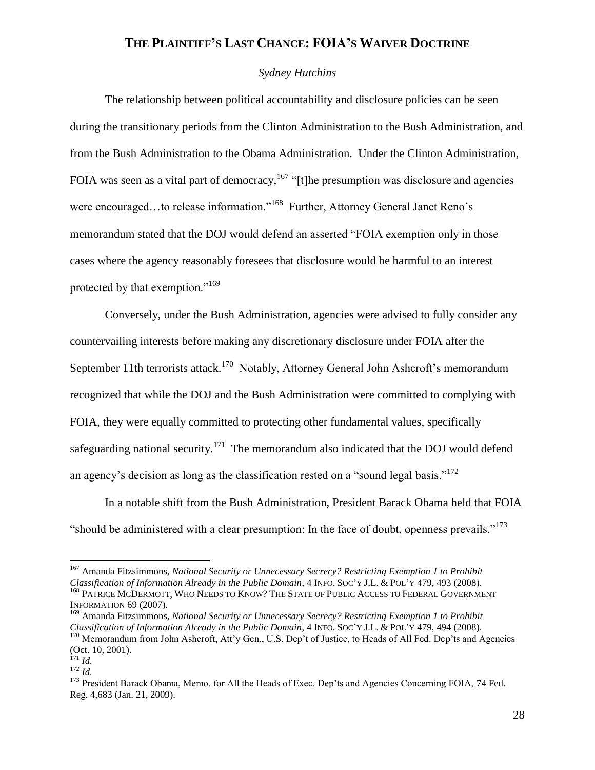### *Sydney Hutchins*

The relationship between political accountability and disclosure policies can be seen during the transitionary periods from the Clinton Administration to the Bush Administration, and from the Bush Administration to the Obama Administration. Under the Clinton Administration, FOIA was seen as a vital part of democracy,<sup>167</sup> "[t]he presumption was disclosure and agencies were encouraged...to release information."<sup>168</sup> Further, Attorney General Janet Reno's memorandum stated that the DOJ would defend an asserted "FOIA exemption only in those cases where the agency reasonably foresees that disclosure would be harmful to an interest protected by that exemption."<sup>169</sup>

Conversely, under the Bush Administration, agencies were advised to fully consider any countervailing interests before making any discretionary disclosure under FOIA after the September 11th terrorists attack.<sup>170</sup> Notably, Attorney General John Ashcroft's memorandum recognized that while the DOJ and the Bush Administration were committed to complying with FOIA, they were equally committed to protecting other fundamental values, specifically safeguarding national security.<sup>171</sup> The memorandum also indicated that the DOJ would defend an agency's decision as long as the classification rested on a "sound legal basis."<sup>172</sup>

In a notable shift from the Bush Administration, President Barack Obama held that FOIA "should be administered with a clear presumption: In the face of doubt, openness prevails."<sup>173</sup>

<sup>167</sup> Amanda Fitzsimmons, *National Security or Unnecessary Secrecy? Restricting Exemption 1 to Prohibit Classification of Information Already in the Public Domain*, 4 INFO. SOC'Y J.L. & POL'Y 479, 493 (2008). <sup>168</sup> PATRICE MCDERMOTT, WHO NEEDS TO KNOW? THE STATE OF PUBLIC ACCESS TO FEDERAL GOVERNMENT INFORMATION 69 (2007).

<sup>169</sup> Amanda Fitzsimmons, *National Security or Unnecessary Secrecy? Restricting Exemption 1 to Prohibit Classification of Information Already in the Public Domain*, 4 INFO. SOC'Y J.L. & POL'Y 479, 494 (2008). <sup>170</sup> Memorandum from John Ashcroft, Att'y Gen., U.S. Dep't of Justice, to Heads of All Fed. Dep'ts and Agencies

<sup>(</sup>Oct. 10, 2001).  $^{171}$  *Id.* 

 $^{172}$  *Id.* 

<sup>&</sup>lt;sup>173</sup> President Barack Obama, Memo. for All the Heads of Exec. Dep'ts and Agencies Concerning FOIA, 74 Fed. Reg. 4,683 (Jan. 21, 2009).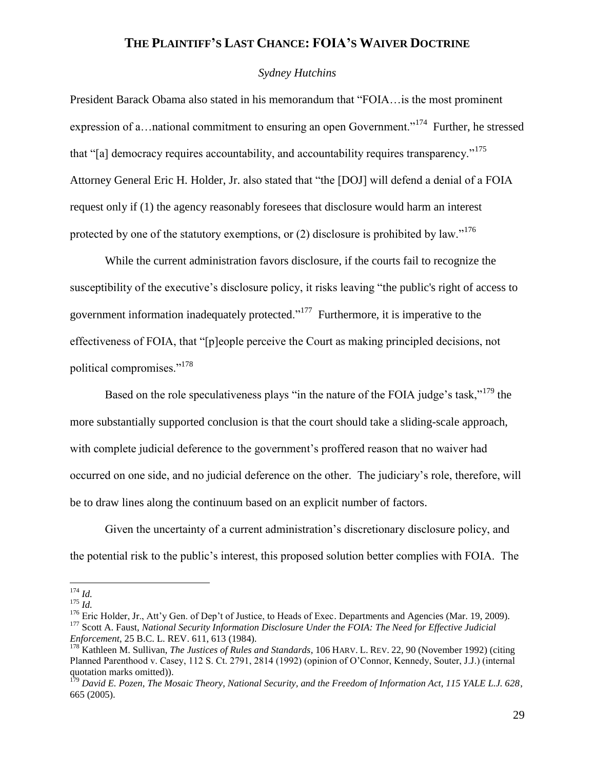#### *Sydney Hutchins*

President Barack Obama also stated in his memorandum that "FOIA…is the most prominent expression of a... national commitment to ensuring an open Government."<sup>174</sup> Further, he stressed that "[a] democracy requires accountability, and accountability requires transparency."<sup>175</sup> Attorney General Eric H. Holder, Jr. also stated that "the [DOJ] will defend a denial of a FOIA request only if (1) the agency reasonably foresees that disclosure would harm an interest protected by one of the statutory exemptions, or  $(2)$  disclosure is prohibited by law."<sup>176</sup>

While the current administration favors disclosure, if the courts fail to recognize the susceptibility of the executive's disclosure policy, it risks leaving "the public's right of access to government information inadequately protected."<sup>177</sup> Furthermore, it is imperative to the effectiveness of FOIA, that "[p]eople perceive the Court as making principled decisions, not political compromises."<sup>178</sup>

Based on the role speculativeness plays "in the nature of the FOIA judge's task,"<sup>179</sup> the more substantially supported conclusion is that the court should take a sliding-scale approach, with complete judicial deference to the government's proffered reason that no waiver had occurred on one side, and no judicial deference on the other. The judiciary's role, therefore, will be to draw lines along the continuum based on an explicit number of factors.

Given the uncertainty of a current administration's discretionary disclosure policy, and the potential risk to the public's interest, this proposed solution better complies with FOIA. The

 $\overline{a}$ <sup>174</sup> *Id.*

<sup>175</sup> *Id.*

<sup>&</sup>lt;sup>176</sup> Eric Holder, Jr., Att'v Gen. of Dep't of Justice, to Heads of Exec. Departments and Agencies (Mar. 19, 2009). <sup>177</sup> Scott A. Faust, *National Security Information Disclosure Under the FOIA: The Need for Effective Judicial Enforcement*, 25 B.C. L. REV. 611, 613 (1984).

<sup>&</sup>lt;sup>178</sup> Kathleen M. Sullivan, *The Justices of Rules and Standards*, 106 HARV. L. REV. 22, 90 (November 1992) (citing Planned Parenthood v. Casey, 112 S. Ct. 2791, 2814 (1992) (opinion of O'Connor, Kennedy, Souter, J.J.) (internal quotation marks omitted)).

<sup>179</sup> *David E. Pozen, The Mosaic Theory, National Security, and the Freedom of Information Act, 115 YALE L.J. 628*, 665 (2005).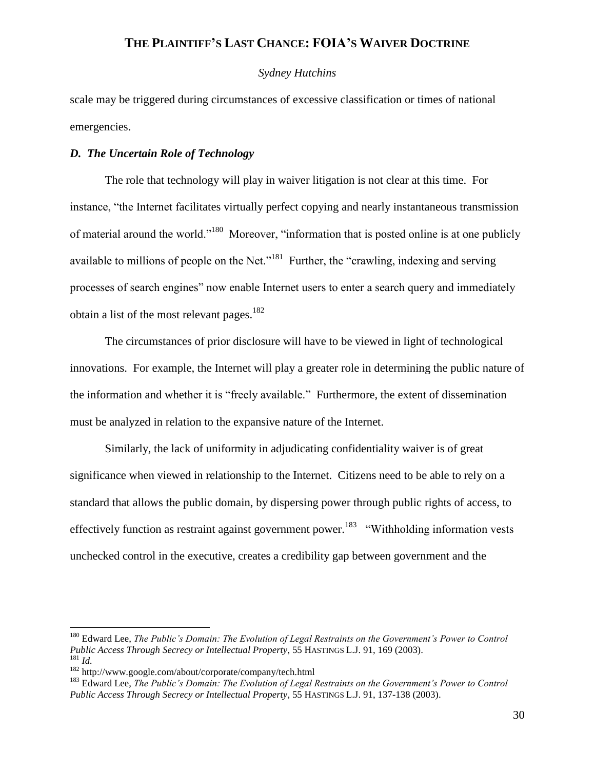### *Sydney Hutchins*

scale may be triggered during circumstances of excessive classification or times of national emergencies.

### *D. The Uncertain Role of Technology*

The role that technology will play in waiver litigation is not clear at this time. For instance, "the Internet facilitates virtually perfect copying and nearly instantaneous transmission of material around the world."<sup>180</sup> Moreover, "information that is posted online is at one publicly available to millions of people on the Net."<sup>181</sup> Further, the "crawling, indexing and serving processes of search engines" now enable Internet users to enter a search query and immediately obtain a list of the most relevant pages. $182$ 

The circumstances of prior disclosure will have to be viewed in light of technological innovations. For example, the Internet will play a greater role in determining the public nature of the information and whether it is "freely available." Furthermore, the extent of dissemination must be analyzed in relation to the expansive nature of the Internet.

Similarly, the lack of uniformity in adjudicating confidentiality waiver is of great significance when viewed in relationship to the Internet. Citizens need to be able to rely on a standard that allows the public domain, by dispersing power through public rights of access, to effectively function as restraint against government power.<sup>183</sup> "Withholding information vests unchecked control in the executive, creates a credibility gap between government and the

<sup>&</sup>lt;sup>180</sup> Edward Lee, *The Public's Domain: The Evolution of Legal Restraints on the Government's Power to Control Public Access Through Secrecy or Intellectual Property*, 55 HASTINGS L.J. 91, 169 (2003). <sup>181</sup> *Id.*

<sup>182</sup> http://www.google.com/about/corporate/company/tech.html

<sup>183</sup> Edward Lee, *The Public's Domain: The Evolution of Legal Restraints on the Government's Power to Control Public Access Through Secrecy or Intellectual Property*, 55 HASTINGS L.J. 91, 137-138 (2003).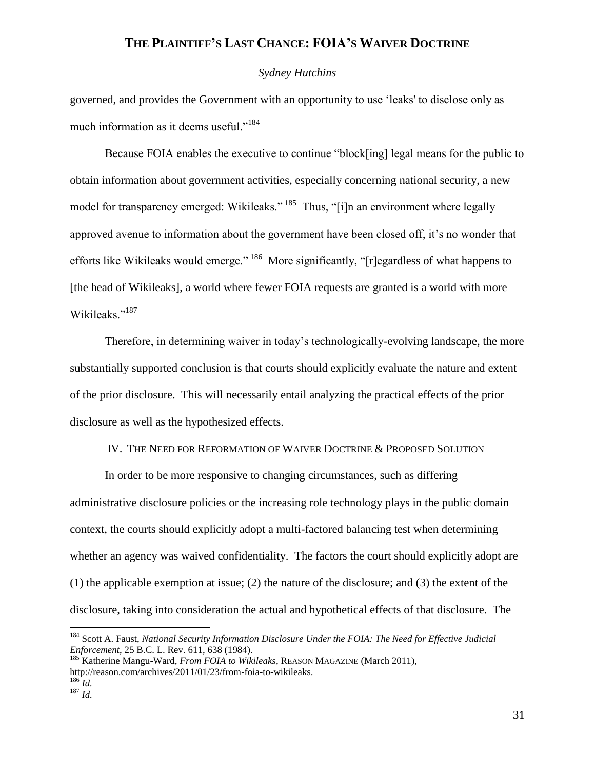### *Sydney Hutchins*

governed, and provides the Government with an opportunity to use 'leaks' to disclose only as much information as it deems useful."<sup>184</sup>

Because FOIA enables the executive to continue "block[ing] legal means for the public to obtain information about government activities, especially concerning national security, a new model for transparency emerged: Wikileaks."<sup>185</sup> Thus, "[i]n an environment where legally approved avenue to information about the government have been closed off, it's no wonder that efforts like Wikileaks would emerge."<sup>186</sup> More significantly, "[r]egardless of what happens to [the head of Wikileaks], a world where fewer FOIA requests are granted is a world with more Wikileaks."<sup>187</sup>

Therefore, in determining waiver in today's technologically-evolving landscape, the more substantially supported conclusion is that courts should explicitly evaluate the nature and extent of the prior disclosure. This will necessarily entail analyzing the practical effects of the prior disclosure as well as the hypothesized effects.

### IV. THE NEED FOR REFORMATION OF WAIVER DOCTRINE & PROPOSED SOLUTION

In order to be more responsive to changing circumstances, such as differing administrative disclosure policies or the increasing role technology plays in the public domain context, the courts should explicitly adopt a multi-factored balancing test when determining whether an agency was waived confidentiality. The factors the court should explicitly adopt are (1) the applicable exemption at issue; (2) the nature of the disclosure; and (3) the extent of the disclosure, taking into consideration the actual and hypothetical effects of that disclosure. The

<sup>184</sup> Scott A. Faust, *National Security Information Disclosure Under the FOIA: The Need for Effective Judicial Enforcement*, 25 B.C. L. Rev. 611, 638 (1984).

<sup>&</sup>lt;sup>185</sup> Katherine Mangu-Ward, *From FOIA to Wikileaks*, REASON MAGAZINE (March 2011), http://reason.com/archives/2011/01/23/from-foia-to-wikileaks.

 $^{186}$ *Id.* <sup>187</sup> *Id.*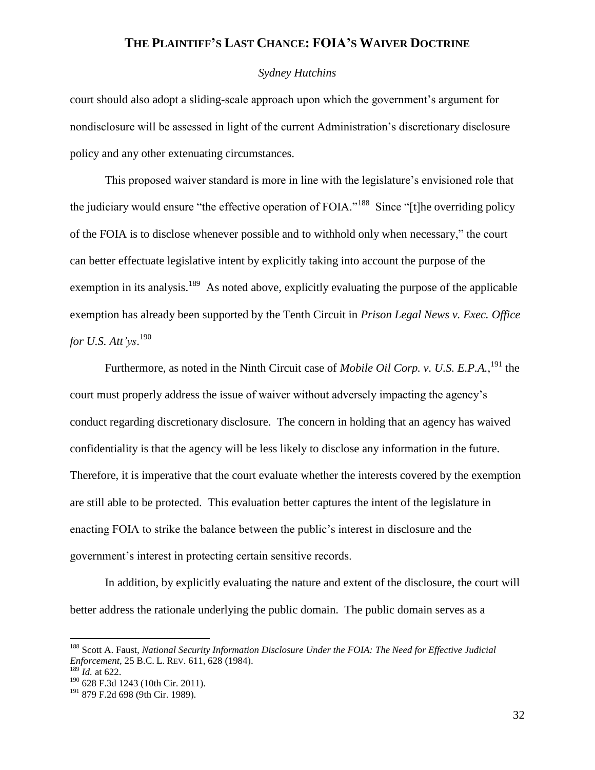### *Sydney Hutchins*

court should also adopt a sliding-scale approach upon which the government's argument for nondisclosure will be assessed in light of the current Administration's discretionary disclosure policy and any other extenuating circumstances.

This proposed waiver standard is more in line with the legislature's envisioned role that the judiciary would ensure "the effective operation of FOIA."<sup>188</sup> Since "[t]he overriding policy of the FOIA is to disclose whenever possible and to withhold only when necessary," the court can better effectuate legislative intent by explicitly taking into account the purpose of the exemption in its analysis.<sup>189</sup> As noted above, explicitly evaluating the purpose of the applicable exemption has already been supported by the Tenth Circuit in *Prison Legal News v. Exec. Office for U.S. Att'ys*. 190

Furthermore, as noted in the Ninth Circuit case of *Mobile Oil Corp. v. U.S. E.P.A.*,<sup>191</sup> the court must properly address the issue of waiver without adversely impacting the agency's conduct regarding discretionary disclosure. The concern in holding that an agency has waived confidentiality is that the agency will be less likely to disclose any information in the future. Therefore, it is imperative that the court evaluate whether the interests covered by the exemption are still able to be protected. This evaluation better captures the intent of the legislature in enacting FOIA to strike the balance between the public's interest in disclosure and the government's interest in protecting certain sensitive records.

In addition, by explicitly evaluating the nature and extent of the disclosure, the court will better address the rationale underlying the public domain. The public domain serves as a

<sup>188</sup> Scott A. Faust, *National Security Information Disclosure Under the FOIA: The Need for Effective Judicial Enforcement*, 25 B.C. L. REV. 611, 628 (1984).

 $^{189}$ *Id.* at 622.

<sup>190</sup> 628 F.3d 1243 (10th Cir. 2011).

 $191$  879 F.2d 698 (9th Cir. 1989).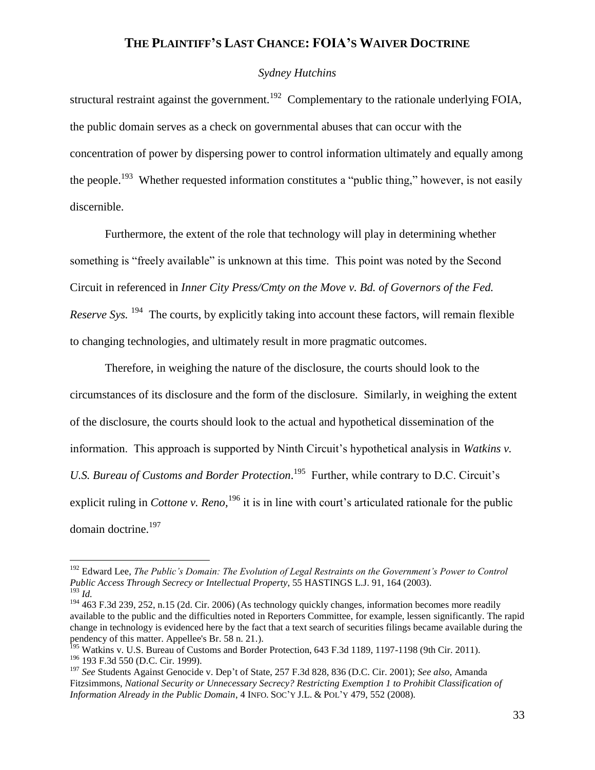### *Sydney Hutchins*

structural restraint against the government.<sup>192</sup> Complementary to the rationale underlying FOIA, the public domain serves as a check on governmental abuses that can occur with the concentration of power by dispersing power to control information ultimately and equally among the people.<sup>193</sup> Whether requested information constitutes a "public thing," however, is not easily discernible.

Furthermore, the extent of the role that technology will play in determining whether something is "freely available" is unknown at this time. This point was noted by the Second Circuit in referenced in *Inner City Press/Cmty on the Move v. Bd. of Governors of the Fed. Reserve Sys.* <sup>194</sup> The courts, by explicitly taking into account these factors, will remain flexible to changing technologies, and ultimately result in more pragmatic outcomes.

Therefore, in weighing the nature of the disclosure, the courts should look to the circumstances of its disclosure and the form of the disclosure. Similarly, in weighing the extent of the disclosure, the courts should look to the actual and hypothetical dissemination of the information. This approach is supported by Ninth Circuit's hypothetical analysis in *Watkins v.*  U.S. Bureau of Customs and Border Protection.<sup>195</sup> Further, while contrary to D.C. Circuit's explicit ruling in *Cottone v. Reno*, <sup>196</sup> it is in line with court's articulated rationale for the public domain doctrine.<sup>197</sup>

<sup>&</sup>lt;sup>192</sup> Edward Lee, *The Public's Domain: The Evolution of Legal Restraints on the Government's Power to Control Public Access Through Secrecy or Intellectual Property*, 55 HASTINGS L.J. 91, 164 (2003). <sup>193</sup> *Id.*

<sup>&</sup>lt;sup>194</sup> 463 F.3d 239, 252, n.15 (2d. Cir. 2006) (As technology quickly changes, information becomes more readily available to the public and the difficulties noted in Reporters Committee, for example, lessen significantly. The rapid change in technology is evidenced here by the fact that a text search of securities filings became available during the pendency of this matter. Appellee's Br. 58 n. 21.).

<sup>&</sup>lt;sup>195</sup> Watkins v. U.S. Bureau of Customs and Border Protection, 643 F.3d 1189, 1197-1198 (9th Cir. 2011). <sup>196</sup> 193 F.3d 550 (D.C. Cir. 1999).

<sup>197</sup> *See* Students Against Genocide v. Dep't of State, 257 F.3d 828, 836 (D.C. Cir. 2001); *See also,* Amanda Fitzsimmons, *National Security or Unnecessary Secrecy? Restricting Exemption 1 to Prohibit Classification of Information Already in the Public Domain*, 4 INFO. SOC'Y J.L. & POL'Y 479, 552 (2008).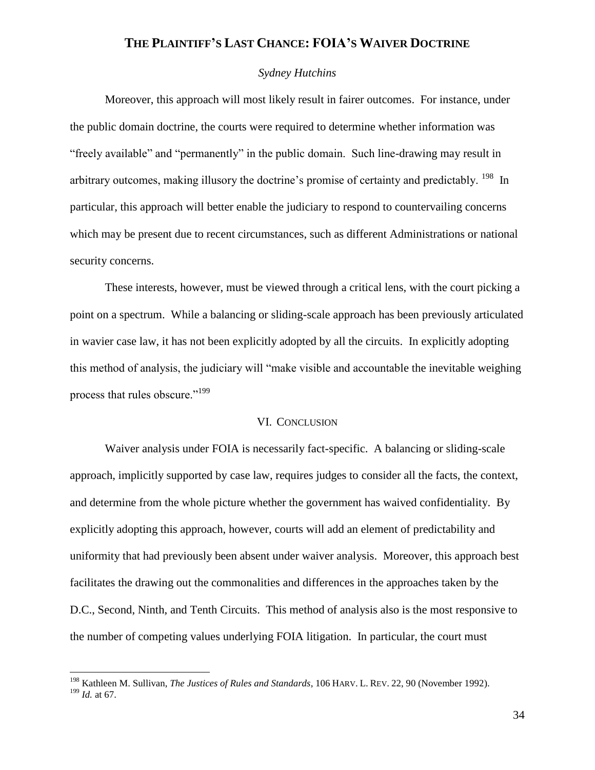### *Sydney Hutchins*

Moreover, this approach will most likely result in fairer outcomes. For instance, under the public domain doctrine, the courts were required to determine whether information was "freely available" and "permanently" in the public domain. Such line-drawing may result in arbitrary outcomes, making illusory the doctrine's promise of certainty and predictably. <sup>198</sup> In particular, this approach will better enable the judiciary to respond to countervailing concerns which may be present due to recent circumstances, such as different Administrations or national security concerns.

These interests, however, must be viewed through a critical lens, with the court picking a point on a spectrum. While a balancing or sliding-scale approach has been previously articulated in wavier case law, it has not been explicitly adopted by all the circuits. In explicitly adopting this method of analysis, the judiciary will "make visible and accountable the inevitable weighing process that rules obscure."<sup>199</sup>

#### VI. CONCLUSION

Waiver analysis under FOIA is necessarily fact-specific. A balancing or sliding-scale approach, implicitly supported by case law, requires judges to consider all the facts, the context, and determine from the whole picture whether the government has waived confidentiality. By explicitly adopting this approach, however, courts will add an element of predictability and uniformity that had previously been absent under waiver analysis. Moreover, this approach best facilitates the drawing out the commonalities and differences in the approaches taken by the D.C., Second, Ninth, and Tenth Circuits. This method of analysis also is the most responsive to the number of competing values underlying FOIA litigation. In particular, the court must

<sup>198</sup> Kathleen M. Sullivan, *The Justices of Rules and Standards*, 106 HARV. L. REV. 22, 90 (November 1992). <sup>199</sup> *Id.* at 67.